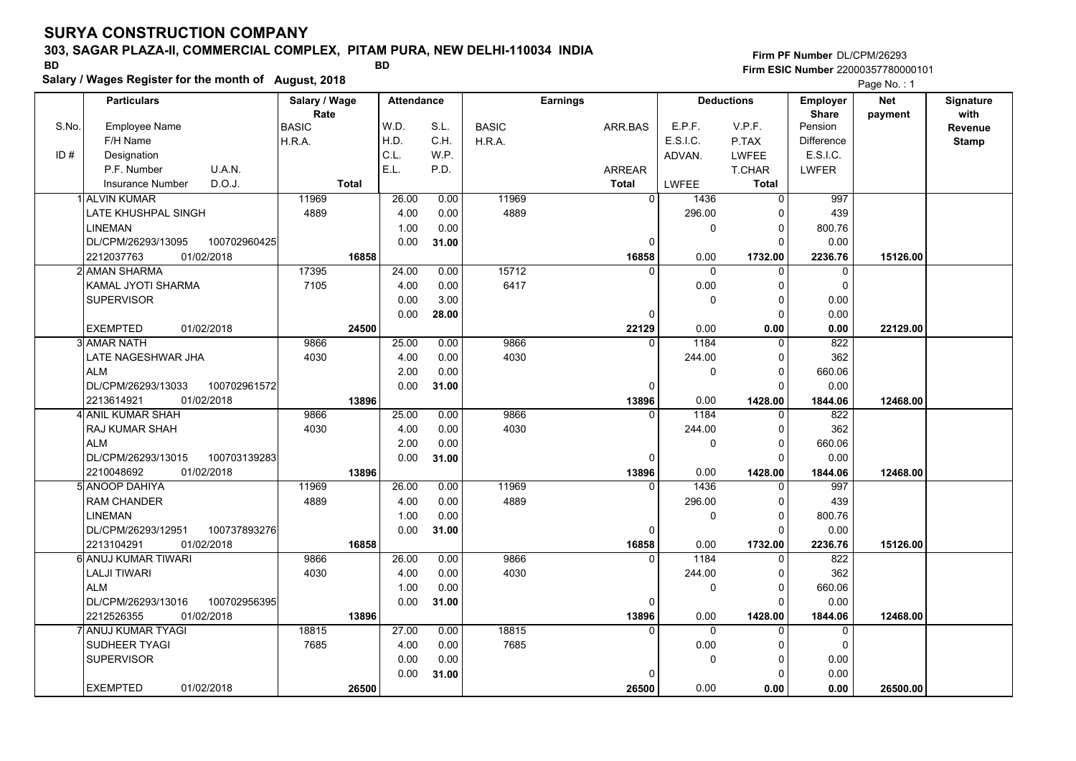### **303, SAGAR PLAZA-II, COMMERCIAL COMPLEX, PITAM PURA, NEW DELHI-110034 INDIA**

**Salary / Wages Register for the month of August, 2018 BD BD**

### **Firm PF Number**DL/CPM/26293**Firm ESIC Number** 22000357780000101

|       | <b>Particulars</b>                 | Salary / Wage        | <b>Attendance</b> |       |              | <b>Earnings</b> |              | <b>Deductions</b> | Employer                | <b>Net</b> | Signature       |
|-------|------------------------------------|----------------------|-------------------|-------|--------------|-----------------|--------------|-------------------|-------------------------|------------|-----------------|
| S.No. | Employee Name                      | Rate<br><b>BASIC</b> | W.D.              | S.L.  | <b>BASIC</b> | ARR BAS         | E.P.F.       | V.P.F.            | <b>Share</b><br>Pension | payment    | with<br>Revenue |
|       | F/H Name                           | H.R.A.               | H.D.              | C.H.  | H.R.A.       |                 | E.S.I.C.     | P.TAX             | <b>Difference</b>       |            | <b>Stamp</b>    |
| ID#   | Designation                        |                      | C.L.              | W.P.  |              |                 | ADVAN.       | LWFEE             | E.S.I.C.                |            |                 |
|       | U.A.N.<br>P.F. Number              |                      | E.L.              | P.D.  |              | ARREAR          |              | T.CHAR            | <b>LWFER</b>            |            |                 |
|       | D.O.J.<br><b>Insurance Number</b>  | <b>Total</b>         |                   |       |              | <b>Total</b>    | <b>LWFEE</b> | <b>Total</b>      |                         |            |                 |
|       | 1 ALVIN KUMAR                      | 11969                | 26.00             | 0.00  | 11969        | $\overline{0}$  | 1436         | 0                 | 997                     |            |                 |
|       | LATE KHUSHPAL SINGH                | 4889                 | 4.00              | 0.00  | 4889         |                 | 296.00       | 0                 | 439                     |            |                 |
|       | <b>LINEMAN</b>                     |                      | 1.00              | 0.00  |              |                 | 0            | 0                 | 800.76                  |            |                 |
|       | DL/CPM/26293/13095<br>100702960425 |                      | 0.00              | 31.00 |              | $\Omega$        |              | $\Omega$          | 0.00                    |            |                 |
|       | 2212037763<br>01/02/2018           | 16858                |                   |       |              | 16858           | 0.00         | 1732.00           | 2236.76                 | 15126.00   |                 |
|       | 2 AMAN SHARMA                      | 17395                | 24.00             | 0.00  | 15712        | 0               | 0            | 0                 | $\mathbf 0$             |            |                 |
|       | KAMAL JYOTI SHARMA                 | 7105                 | 4.00              | 0.00  | 6417         |                 | 0.00         | $\Omega$          | $\Omega$                |            |                 |
|       | <b>SUPERVISOR</b>                  |                      | 0.00              | 3.00  |              |                 | 0            | $\Omega$          | 0.00                    |            |                 |
|       |                                    |                      | 0.00              | 28.00 |              | $\Omega$        |              | $\mathbf 0$       | 0.00                    |            |                 |
|       | <b>EXEMPTED</b><br>01/02/2018      | 24500                |                   |       |              | 22129           | 0.00         | 0.00              | 0.00                    | 22129.00   |                 |
|       | 3 AMAR NATH                        | 9866                 | 25.00             | 0.00  | 9866         | $\Omega$        | 1184         | $\mathbf 0$       | 822                     |            |                 |
|       | LATE NAGESHWAR JHA                 | 4030                 | 4.00              | 0.00  | 4030         |                 | 244.00       | $\Omega$          | 362                     |            |                 |
|       | <b>ALM</b>                         |                      | 2.00              | 0.00  |              |                 | 0            | $\mathbf 0$       | 660.06                  |            |                 |
|       | DL/CPM/26293/13033<br>100702961572 |                      | 0.00              | 31.00 |              | 0               |              | $\Omega$          | 0.00                    |            |                 |
|       | 2213614921<br>01/02/2018           | 13896                |                   |       |              | 13896           | 0.00         | 1428.00           | 1844.06                 | 12468.00   |                 |
|       | 4 ANIL KUMAR SHAH                  | 9866                 | 25.00             | 0.00  | 9866         | $\Omega$        | 1184         | 0                 | 822                     |            |                 |
|       | RAJ KUMAR SHAH                     | 4030                 | 4.00              | 0.00  | 4030         |                 | 244.00       | 0                 | 362                     |            |                 |
|       | <b>ALM</b>                         |                      | 2.00              | 0.00  |              |                 | 0            | $\Omega$          | 660.06                  |            |                 |
|       | DL/CPM/26293/13015<br>100703139283 |                      | 0.00              | 31.00 |              | $\Omega$        |              | $\Omega$          | 0.00                    |            |                 |
|       | 2210048692<br>01/02/2018           | 13896                |                   |       |              | 13896           | 0.00         | 1428.00           | 1844.06                 | 12468.00   |                 |
|       | 5 ANOOP DAHIYA                     | 11969                | 26.00             | 0.00  | 11969        | <sup>0</sup>    | 1436         | 0                 | 997                     |            |                 |
|       | <b>RAM CHANDER</b>                 | 4889                 | 4.00              | 0.00  | 4889         |                 | 296.00       | $\mathbf 0$       | 439                     |            |                 |
|       | <b>LINEMAN</b>                     |                      | 1.00              | 0.00  |              |                 | 0            | $\mathbf 0$       | 800.76                  |            |                 |
|       | DL/CPM/26293/12951<br>100737893276 |                      | 0.00              | 31.00 |              | 0               |              | 0                 | 0.00                    |            |                 |
|       | 01/02/2018<br>2213104291           | 16858                |                   |       |              | 16858           | 0.00         | 1732.00           | 2236.76                 | 15126.00   |                 |
|       | 6 ANUJ KUMAR TIWARI                | 9866                 | 26.00             | 0.00  | 9866         | $\Omega$        | 1184         | $\mathbf 0$       | 822                     |            |                 |
|       | <b>LALJI TIWARI</b>                | 4030                 | 4.00              | 0.00  | 4030         |                 | 244.00       | 0                 | 362                     |            |                 |
|       | <b>ALM</b>                         |                      | 1.00              | 0.00  |              |                 | 0            | $\mathbf 0$       | 660.06                  |            |                 |
|       | DL/CPM/26293/13016<br>100702956395 |                      | 0.00              | 31.00 |              | $\Omega$        |              | $\Omega$          | 0.00                    |            |                 |
|       | 2212526355<br>01/02/2018           | 13896                |                   |       |              | 13896           | 0.00         | 1428.00           | 1844.06                 | 12468.00   |                 |
|       | 7 ANUJ KUMAR TYAGI                 | 18815                | 27.00             | 0.00  | 18815        | $\Omega$        | 0            | 0                 | 0                       |            |                 |
|       | SUDHEER TYAGI                      | 7685                 | 4.00              | 0.00  | 7685         |                 | 0.00         | $\Omega$          | $\Omega$                |            |                 |
|       | <b>SUPERVISOR</b>                  |                      | 0.00              | 0.00  |              |                 | 0            | 0                 | 0.00                    |            |                 |
|       |                                    |                      | 0.00              | 31.00 |              |                 |              | $\Omega$          | 0.00                    |            |                 |
|       | <b>EXEMPTED</b><br>01/02/2018      | 26500                |                   |       |              | 26500           | 0.00         | 0.00              | 0.00                    | 26500.00   |                 |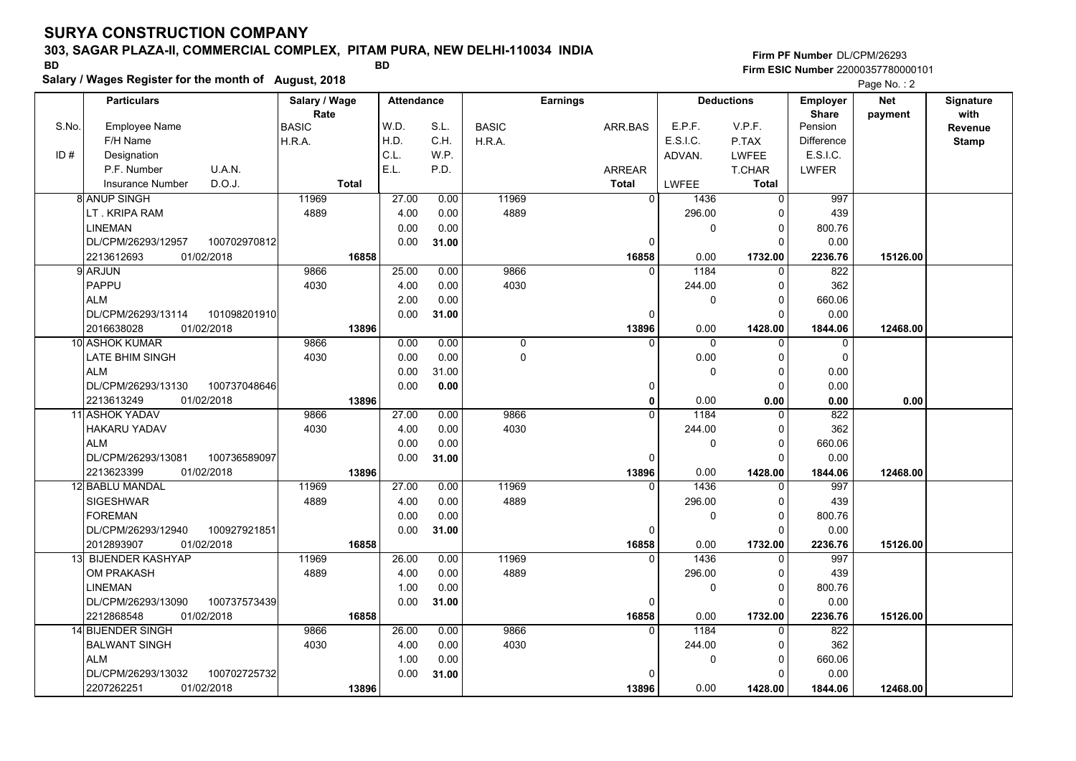### **303, SAGAR PLAZA-II, COMMERCIAL COMPLEX, PITAM PURA, NEW DELHI-110034 INDIA**

**Firm PF Number**DL/CPM/26293**Firm ESIC Number** 22000357780000101

|       | Salary / wages Register for the month of August, 2018 |              |               |              |                   |       |              |                 |                |              |                   |                 | Page No.: 2 |              |
|-------|-------------------------------------------------------|--------------|---------------|--------------|-------------------|-------|--------------|-----------------|----------------|--------------|-------------------|-----------------|-------------|--------------|
|       | <b>Particulars</b>                                    |              | Salary / Wage |              | <b>Attendance</b> |       |              | <b>Earnings</b> |                |              | <b>Deductions</b> | <b>Employer</b> | <b>Net</b>  | Signature    |
|       |                                                       |              | Rate          |              |                   |       |              |                 |                |              |                   | <b>Share</b>    | payment     | with         |
| S.No. | Employee Name                                         |              | <b>BASIC</b>  |              | W.D.              | S.L.  | <b>BASIC</b> |                 | ARR.BAS        | E.P.F.       | V.P.F.            | Pension         |             | Revenue      |
|       | F/H Name                                              |              | H.R.A.        |              | H.D.              | C.H.  | H.R.A.       |                 |                | E.S.I.C.     | P.TAX             | Difference      |             | <b>Stamp</b> |
| ID#   | Designation                                           |              |               |              | C.L.              | W.P.  |              |                 |                | ADVAN.       | <b>LWFEE</b>      | E.S.I.C.        |             |              |
|       | P.F. Number                                           | U.A.N.       |               |              | E.L.              | P.D.  |              |                 | <b>ARREAR</b>  |              | <b>T.CHAR</b>     | <b>LWFER</b>    |             |              |
|       | <b>Insurance Number</b>                               | D.O.J.       |               | <b>Total</b> |                   |       |              |                 | <b>Total</b>   | <b>LWFEE</b> | <b>Total</b>      |                 |             |              |
|       | <b>8 ANUP SINGH</b>                                   |              | 11969         |              | 27.00             | 0.00  | 11969        |                 | $\overline{0}$ | 1436         | $\overline{0}$    | 997             |             |              |
|       | LT . KRIPA RAM                                        |              | 4889          |              | 4.00              | 0.00  | 4889         |                 |                | 296.00       | $\Omega$          | 439             |             |              |
|       | <b>LINEMAN</b>                                        |              |               |              | 0.00              | 0.00  |              |                 |                | 0            | $\mathbf 0$       | 800.76          |             |              |
|       | DL/CPM/26293/12957                                    | 100702970812 |               |              | 0.00              | 31.00 |              |                 | $\Omega$       |              | $\Omega$          | 0.00            |             |              |
|       | 2213612693<br>01/02/2018                              |              |               | 16858        |                   |       |              |                 | 16858          | 0.00         | 1732.00           | 2236.76         | 15126.00    |              |
|       | 9 ARJUN                                               |              | 9866          |              | 25.00             | 0.00  | 9866         |                 | $\Omega$       | 1184         | 0                 | 822             |             |              |
|       | <b>PAPPU</b>                                          |              | 4030          |              | 4.00              | 0.00  | 4030         |                 |                | 244.00       | $\Omega$          | 362             |             |              |
|       | <b>ALM</b>                                            |              |               |              | 2.00              | 0.00  |              |                 |                | 0            | $\mathbf 0$       | 660.06          |             |              |
|       | DL/CPM/26293/13114                                    | 101098201910 |               |              | 0.00              | 31.00 |              |                 | $\Omega$       |              | $\Omega$          | 0.00            |             |              |
|       | 2016638028<br>01/02/2018                              |              |               | 13896        |                   |       |              |                 | 13896          | 0.00         | 1428.00           | 1844.06         | 12468.00    |              |
|       | 10 ASHOK KUMAR                                        |              | 9866          |              | 0.00              | 0.00  | 0            |                 | $\Omega$       | $\Omega$     | $\Omega$          | 0               |             |              |
|       | LATE BHIM SINGH                                       |              | 4030          |              | 0.00              | 0.00  | 0            |                 |                | 0.00         | $\mathbf 0$       | $\mathbf 0$     |             |              |
|       | <b>ALM</b>                                            |              |               |              | 0.00              | 31.00 |              |                 |                | 0            | $\mathbf 0$       | 0.00            |             |              |
|       | DL/CPM/26293/13130                                    | 100737048646 |               |              | 0.00              | 0.00  |              |                 | 0              |              | $\Omega$          | 0.00            |             |              |
|       | 01/02/2018<br>2213613249                              |              |               | 13896        |                   |       |              |                 | $\mathbf{0}$   | 0.00         | 0.00              | 0.00            | 0.00        |              |
|       | 11 ASHOK YADAV                                        |              | 9866          |              | 27.00             | 0.00  | 9866         |                 | $\Omega$       | 1184         | $\Omega$          | 822             |             |              |
|       | <b>HAKARU YADAV</b>                                   |              | 4030          |              | 4.00              | 0.00  | 4030         |                 |                | 244.00       | $\mathbf 0$       | 362             |             |              |
|       | <b>ALM</b>                                            |              |               |              | 0.00              | 0.00  |              |                 |                | 0            | $\mathbf 0$       | 660.06          |             |              |
|       | DL/CPM/26293/13081                                    | 100736589097 |               |              | 0.00              | 31.00 |              |                 | 0              |              | $\Omega$          | 0.00            |             |              |
|       | 01/02/2018<br>2213623399                              |              |               | 13896        |                   |       |              |                 | 13896          | 0.00         | 1428.00           | 1844.06         | 12468.00    |              |
|       | 12 BABLU MANDAL                                       |              | 11969         |              | 27.00             | 0.00  | 11969        |                 | $\Omega$       | 1436         | 0                 | 997             |             |              |
|       | <b>SIGESHWAR</b>                                      |              | 4889          |              | 4.00              | 0.00  | 4889         |                 |                | 296.00       | $\mathbf 0$       | 439             |             |              |
|       | <b>FOREMAN</b>                                        |              |               |              | 0.00              | 0.00  |              |                 |                | $\Omega$     | $\Omega$          | 800.76          |             |              |
|       | DL/CPM/26293/12940                                    | 100927921851 |               |              | 0.00              | 31.00 |              |                 | 0              |              | $\Omega$          | 0.00            |             |              |
|       | 2012893907<br>01/02/2018                              |              |               | 16858        |                   |       |              |                 | 16858          | 0.00         | 1732.00           | 2236.76         | 15126.00    |              |
|       | 13 BIJENDER KASHYAP                                   |              | 11969         |              | 26.00             | 0.00  | 11969        |                 | $\Omega$       | 1436         | 0                 | 997             |             |              |
|       | <b>OM PRAKASH</b>                                     |              | 4889          |              | 4.00              | 0.00  | 4889         |                 |                | 296.00       | $\mathbf 0$       | 439             |             |              |
|       | <b>LINEMAN</b>                                        |              |               |              | 1.00              | 0.00  |              |                 |                | 0            | $\mathbf 0$       | 800.76          |             |              |
|       | DL/CPM/26293/13090                                    | 100737573439 |               |              | 0.00              | 31.00 |              |                 | $\mathbf{0}$   |              | $\Omega$          | 0.00            |             |              |
|       | 2212868548<br>01/02/2018                              |              |               | 16858        |                   |       |              |                 | 16858          | 0.00         | 1732.00           | 2236.76         | 15126.00    |              |
|       | 14 BIJENDER SINGH                                     |              | 9866          |              | 26.00             | 0.00  | 9866         |                 | $\Omega$       | 1184         | $\overline{0}$    | 822             |             |              |
|       | <b>BALWANT SINGH</b>                                  |              | 4030          |              | 4.00              | 0.00  | 4030         |                 |                | 244.00       | $\mathbf 0$       | 362             |             |              |
|       | <b>ALM</b>                                            |              |               |              | 1.00              | 0.00  |              |                 |                | 0            | $\mathbf 0$       | 660.06          |             |              |
|       | DL/CPM/26293/13032                                    | 100702725732 |               |              | 0.00              | 31.00 |              |                 | $\Omega$       |              | $\Omega$          | 0.00            |             |              |
|       | 2207262251<br>01/02/2018                              |              |               | 13896        |                   |       |              |                 | 13896          | 0.00         | 1428.00           | 1844.06         | 12468.00    |              |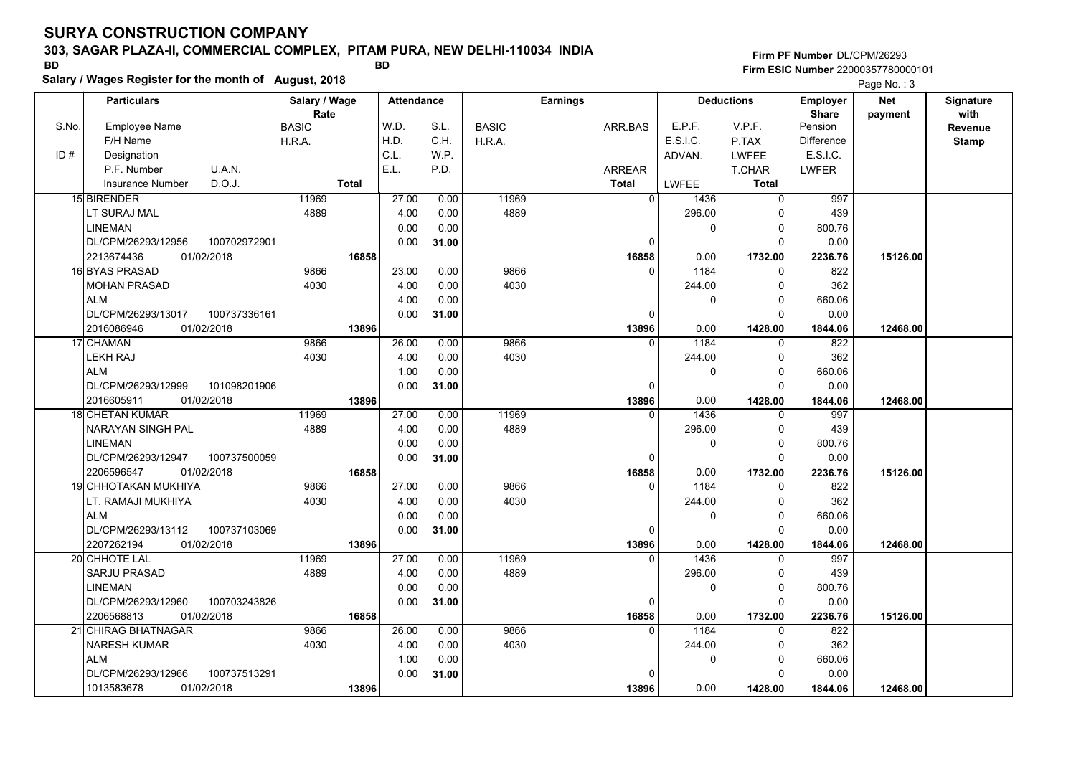### **303, SAGAR PLAZA-II, COMMERCIAL COMPLEX, PITAM PURA, NEW DELHI-110034 INDIA**

**Firm PF Number**DL/CPM/26293**Firm ESIC Number** 22000357780000101

|       | Salary / Wages Register for the month of August, 2018 |               |                   |       |              |                |          |                   |                 | Page No.: 3 |                  |
|-------|-------------------------------------------------------|---------------|-------------------|-------|--------------|----------------|----------|-------------------|-----------------|-------------|------------------|
|       | <b>Particulars</b>                                    | Salary / Wage | <b>Attendance</b> |       |              | Earnings       |          | <b>Deductions</b> | Employer        | <b>Net</b>  | <b>Signature</b> |
|       |                                                       | Rate          |                   |       |              |                |          |                   | <b>Share</b>    | payment     | with             |
| S.No. | <b>Employee Name</b>                                  | BASIC         | W.D.              | S.L.  | <b>BASIC</b> | ARR.BAS        | E.P.F.   | V.P.F.            | Pension         |             | Revenue          |
|       | F/H Name                                              | H.R.A.        | H.D.              | C.H.  | H.R.A.       |                | E.S.I.C. | P.TAX             | Difference      |             | <b>Stamp</b>     |
| ID#   | Designation                                           |               | C.L.              | W.P.  |              |                | ADVAN.   | <b>LWFEE</b>      | <b>E.S.I.C.</b> |             |                  |
|       | P.F. Number<br>U.A.N.                                 |               | E.L.              | P.D.  |              | <b>ARREAR</b>  |          | T.CHAR            | <b>LWFER</b>    |             |                  |
|       | D.O.J.<br><b>Insurance Number</b>                     | <b>Total</b>  |                   |       |              | <b>Total</b>   | LWFEE    | <b>Total</b>      |                 |             |                  |
|       | 15 BIRENDER                                           | 11969         | 27.00             | 0.00  | 11969        | $\overline{0}$ | 1436     | $\mathbf 0$       | 997             |             |                  |
|       | LT SURAJ MAL                                          | 4889          | 4.00              | 0.00  | 4889         |                | 296.00   | $\Omega$          | 439             |             |                  |
|       | <b>LINEMAN</b>                                        |               | 0.00              | 0.00  |              |                | 0        | $\mathbf 0$       | 800.76          |             |                  |
|       | DL/CPM/26293/12956<br>100702972901                    |               | 0.00              | 31.00 |              | 0              |          | $\Omega$          | 0.00            |             |                  |
|       | 2213674436<br>01/02/2018                              | 16858         |                   |       |              | 16858          | 0.00     | 1732.00           | 2236.76         | 15126.00    |                  |
|       | 16 BYAS PRASAD                                        | 9866          | 23.00             | 0.00  | 9866         | $\Omega$       | 1184     | $\Omega$          | 822             |             |                  |
|       | <b>MOHAN PRASAD</b>                                   | 4030          | 4.00              | 0.00  | 4030         |                | 244.00   | 0                 | 362             |             |                  |
|       | <b>ALM</b>                                            |               | 4.00              | 0.00  |              |                | 0        | $\Omega$          | 660.06          |             |                  |
|       | DL/CPM/26293/13017<br>100737336161                    |               | 0.00              | 31.00 |              | 0              |          | $\Omega$          | 0.00            |             |                  |
|       | 2016086946<br>01/02/2018                              | 13896         |                   |       |              | 13896          | 0.00     | 1428.00           | 1844.06         | 12468.00    |                  |
|       | 17 CHAMAN                                             | 9866          | 26.00             | 0.00  | 9866         | $\Omega$       | 1184     | $\Omega$          | 822             |             |                  |
|       | <b>LEKH RAJ</b>                                       | 4030          | 4.00              | 0.00  | 4030         |                | 244.00   | $\Omega$          | 362             |             |                  |
|       | <b>ALM</b>                                            |               | 1.00              | 0.00  |              |                | 0        | $\Omega$          | 660.06          |             |                  |
|       | DL/CPM/26293/12999<br>101098201906                    |               | 0.00              | 31.00 |              | 0              |          | $\Omega$          | 0.00            |             |                  |
|       | 2016605911<br>01/02/2018                              | 13896         |                   |       |              | 13896          | 0.00     | 1428.00           | 1844.06         | 12468.00    |                  |
|       | <b>18 CHETAN KUMAR</b>                                | 11969         | 27.00             | 0.00  | 11969        | $\Omega$       | 1436     | $\Omega$          | 997             |             |                  |
|       | NARAYAN SINGH PAL                                     | 4889          | 4.00              | 0.00  | 4889         |                | 296.00   | $\Omega$          | 439             |             |                  |
|       | <b>LINEMAN</b>                                        |               | 0.00              | 0.00  |              |                | 0        | $\mathbf 0$       | 800.76          |             |                  |
|       | DL/CPM/26293/12947<br>100737500059                    |               | 0.00              | 31.00 |              | 0              |          | $\Omega$          | 0.00            |             |                  |
|       | 2206596547<br>01/02/2018                              | 16858         |                   |       |              | 16858          | 0.00     | 1732.00           | 2236.76         | 15126.00    |                  |
|       | 19 CHHOTAKAN MUKHIYA                                  | 9866          | 27.00             | 0.00  | 9866         | $\Omega$       | 1184     | $\Omega$          | 822             |             |                  |
|       | LT. RAMAJI MUKHIYA                                    | 4030          | 4.00              | 0.00  | 4030         |                | 244.00   | $\Omega$          | 362             |             |                  |
|       | <b>ALM</b>                                            |               | 0.00              | 0.00  |              |                | 0        | $\Omega$          | 660.06          |             |                  |
|       | DL/CPM/26293/13112<br>100737103069                    |               | 0.00              | 31.00 |              | $\Omega$       |          | $\Omega$          | 0.00            |             |                  |
|       | 2207262194<br>01/02/2018                              | 13896         |                   |       |              | 13896          | 0.00     | 1428.00           | 1844.06         | 12468.00    |                  |
|       | 20 CHHOTE LAL                                         | 11969         | 27.00             | 0.00  | 11969        | $\Omega$       | 1436     | $\Omega$          | 997             |             |                  |
|       | <b>SARJU PRASAD</b>                                   | 4889          | 4.00              | 0.00  | 4889         |                | 296.00   | $\mathbf 0$       | 439             |             |                  |
|       | LINEMAN                                               |               | 0.00              | 0.00  |              |                | 0        | 0                 | 800.76          |             |                  |
|       | DL/CPM/26293/12960<br>100703243826                    |               | 0.00              | 31.00 |              | 0              |          | $\Omega$          | 0.00            |             |                  |
|       | 2206568813<br>01/02/2018                              | 16858         |                   |       |              | 16858          | 0.00     | 1732.00           | 2236.76         | 15126.00    |                  |
|       | 21 CHIRAG BHATNAGAR                                   | 9866          | 26.00             | 0.00  | 9866         | $\Omega$       | 1184     | $\Omega$          | 822             |             |                  |
|       | <b>NARESH KUMAR</b>                                   | 4030          | 4.00              | 0.00  | 4030         |                | 244.00   | 0                 | 362             |             |                  |
|       | <b>ALM</b>                                            |               | 1.00              | 0.00  |              |                | 0        | $\Omega$          | 660.06          |             |                  |
|       | 100737513291<br>DL/CPM/26293/12966                    |               | 0.00              | 31.00 |              | 0              |          | $\Omega$          | 0.00            |             |                  |
|       | 1013583678<br>01/02/2018                              | 13896         |                   |       |              | 13896          | 0.00     | 1428.00           | 1844.06         | 12468.00    |                  |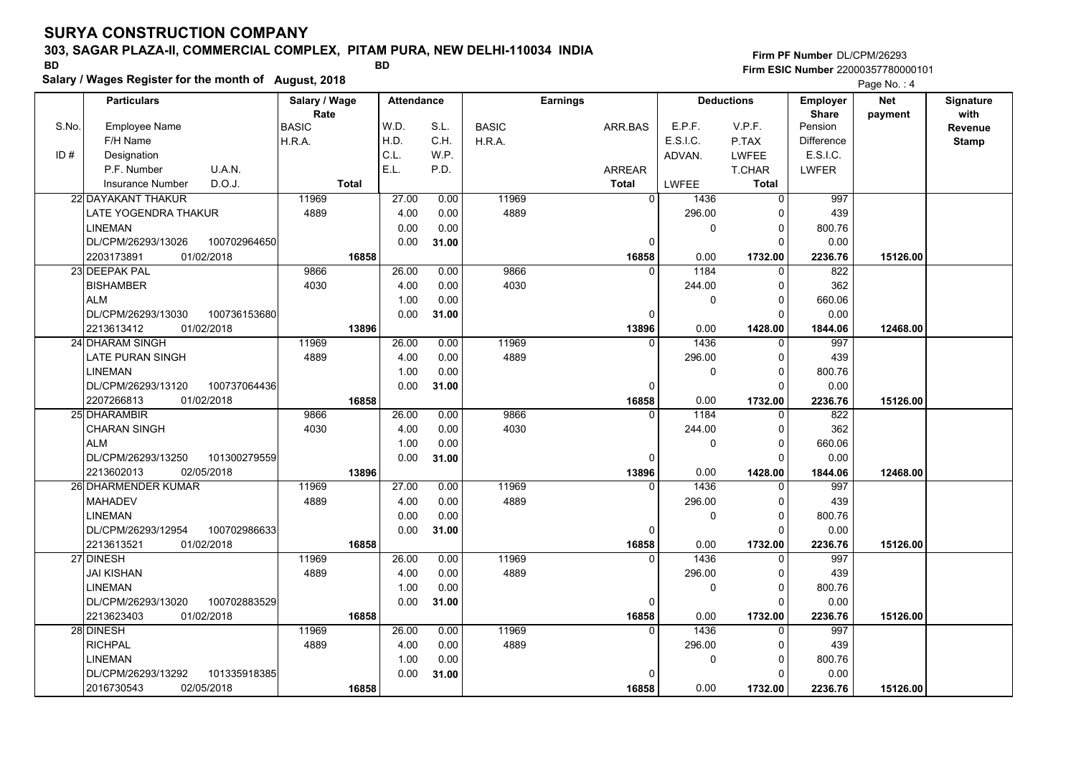### **303, SAGAR PLAZA-II, COMMERCIAL COMPLEX, PITAM PURA, NEW DELHI-110034 INDIA**

**Salary / Wages Register for the month of August, 2018 BD BD**

#### **Firm PF Number**DL/CPM/26293**Firm ESIC Number** 22000357780000101

|       | <b>Particulars</b>                 | Salary / Wage<br>Rate | <b>Attendance</b> |       |              | <b>Earnings</b> |              | <b>Deductions</b> | Employer<br><b>Share</b> | <b>Net</b> | Signature<br>with |
|-------|------------------------------------|-----------------------|-------------------|-------|--------------|-----------------|--------------|-------------------|--------------------------|------------|-------------------|
| S.No. | Employee Name                      | BASIC                 | W.D.              | S.L.  | <b>BASIC</b> | ARR BAS         | E.P.F.       | V.P.F.            | Pension                  | payment    | <b>Revenue</b>    |
|       | F/H Name                           | H.R.A.                | H.D.              | C.H.  | H.R.A.       |                 | E.S.I.C.     | P.TAX             | Difference               |            | <b>Stamp</b>      |
| ID#   | Designation                        |                       | C.L.              | W.P.  |              |                 | ADVAN.       | <b>LWFEE</b>      | E.S.I.C.                 |            |                   |
|       | U.A.N.<br>P.F. Number              |                       | E.L.              | P.D.  |              | <b>ARREAR</b>   |              | T.CHAR            | <b>LWFER</b>             |            |                   |
|       | D.O.J.<br>Insurance Number         | <b>Total</b>          |                   |       |              | <b>Total</b>    | <b>LWFEE</b> | Total             |                          |            |                   |
|       | 22 DAYAKANT THAKUR                 | 11969                 | 27.00             | 0.00  | 11969        | $\mathbf{0}$    | 1436         | $\mathbf 0$       | 997                      |            |                   |
|       | LATE YOGENDRA THAKUR               | 4889                  | 4.00              | 0.00  | 4889         |                 | 296.00       | O                 | 439                      |            |                   |
|       | <b>LINEMAN</b>                     |                       | 0.00              | 0.00  |              |                 | $\mathbf 0$  | $\Omega$          | 800.76                   |            |                   |
|       | DL/CPM/26293/13026<br>100702964650 |                       | 0.00              | 31.00 |              | $\Omega$        |              | $\Omega$          | 0.00                     |            |                   |
|       | 2203173891<br>01/02/2018           | 16858                 |                   |       |              | 16858           | 0.00         | 1732.00           | 2236.76                  | 15126.00   |                   |
|       | 23 DEEPAK PAL                      | 9866                  | 26.00             | 0.00  | 9866         | $\Omega$        | 1184         | 0                 | 822                      |            |                   |
|       | <b>BISHAMBER</b>                   | 4030                  | 4.00              | 0.00  | 4030         |                 | 244.00       | $\Omega$          | 362                      |            |                   |
|       | <b>ALM</b>                         |                       | 1.00              | 0.00  |              |                 | 0            | $\Omega$          | 660.06                   |            |                   |
|       | DL/CPM/26293/13030<br>100736153680 |                       | 0.00              | 31.00 |              | $\Omega$        |              | $\Omega$          | 0.00                     |            |                   |
|       | 01/02/2018<br>2213613412           | 13896                 |                   |       |              | 13896           | 0.00         | 1428.00           | 1844.06                  | 12468.00   |                   |
|       | 24 DHARAM SINGH                    | 11969                 | 26.00             | 0.00  | 11969        | $\Omega$        | 1436         | 0                 | 997                      |            |                   |
|       | LATE PURAN SINGH                   | 4889                  | 4.00              | 0.00  | 4889         |                 | 296.00       | $\Omega$          | 439                      |            |                   |
|       | <b>LINEMAN</b>                     |                       | 1.00              | 0.00  |              |                 | 0            | $\Omega$          | 800.76                   |            |                   |
|       | DL/CPM/26293/13120<br>100737064436 |                       | 0.00              | 31.00 |              | $\Omega$        |              | $\Omega$          | 0.00                     |            |                   |
|       | 2207266813<br>01/02/2018           | 16858                 |                   |       |              | 16858           | 0.00         | 1732.00           | 2236.76                  | 15126.00   |                   |
|       | 25 DHARAMBIR                       | 9866                  | 26.00             | 0.00  | 9866         | $\Omega$        | 1184         | $\Omega$          | 822                      |            |                   |
|       | <b>CHARAN SINGH</b>                | 4030                  | 4.00              | 0.00  | 4030         |                 | 244.00       | $\Omega$          | 362                      |            |                   |
|       | <b>ALM</b>                         |                       | 1.00              | 0.00  |              |                 | 0            | $\Omega$          | 660.06                   |            |                   |
|       | DL/CPM/26293/13250<br>101300279559 |                       | 0.00              | 31.00 |              | $\Omega$        |              | 0                 | 0.00                     |            |                   |
|       | 2213602013<br>02/05/2018           | 13896                 |                   |       |              | 13896           | 0.00         | 1428.00           | 1844.06                  | 12468.00   |                   |
|       | 26 DHARMENDER KUMAR                | 11969                 | 27.00             | 0.00  | 11969        | $\Omega$        | 1436         | $\Omega$          | 997                      |            |                   |
|       | <b>MAHADEV</b>                     | 4889                  | 4.00              | 0.00  | 4889         |                 | 296.00       | $\Omega$          | 439                      |            |                   |
|       | <b>LINEMAN</b>                     |                       | 0.00              | 0.00  |              |                 | 0            | $\mathbf 0$       | 800.76                   |            |                   |
|       | 100702986633<br>DL/CPM/26293/12954 |                       | 0.00              | 31.00 |              | 0               |              | $\Omega$          | 0.00                     |            |                   |
|       | 2213613521<br>01/02/2018           | 16858                 |                   |       |              | 16858           | 0.00         | 1732.00           | 2236.76                  | 15126.00   |                   |
|       | 27 DINESH                          | 11969                 | 26.00             | 0.00  | 11969        |                 | 1436         | $\Omega$          | 997                      |            |                   |
|       | <b>JAI KISHAN</b>                  | 4889                  | 4.00              | 0.00  | 4889         |                 | 296.00       | 0                 | 439                      |            |                   |
|       | <b>LINEMAN</b>                     |                       | 1.00              | 0.00  |              |                 | $\pmb{0}$    | 0                 | 800.76                   |            |                   |
|       | DL/CPM/26293/13020<br>100702883529 |                       | 0.00              | 31.00 |              | 0               |              | $\Omega$          | 0.00                     |            |                   |
|       | 2213623403<br>01/02/2018           | 16858                 |                   |       |              | 16858           | 0.00         | 1732.00           | 2236.76                  | 15126.00   |                   |
|       | 28 DINESH                          | 11969                 | 26.00             | 0.00  | 11969        | $\Omega$        | 1436         | $\Omega$          | 997                      |            |                   |
|       | <b>RICHPAL</b>                     | 4889                  | 4.00              | 0.00  | 4889         |                 | 296.00       | 0                 | 439                      |            |                   |
|       | <b>LINEMAN</b>                     |                       | 1.00              | 0.00  |              |                 | 0            | $\Omega$          | 800.76                   |            |                   |
|       | DL/CPM/26293/13292<br>101335918385 |                       | 0.00              | 31.00 |              |                 |              | $\Omega$          | 0.00                     |            |                   |
|       | 2016730543<br>02/05/2018           | 16858                 |                   |       |              | 16858           | 0.00         | 1732.00           | 2236.76                  | 15126.00   |                   |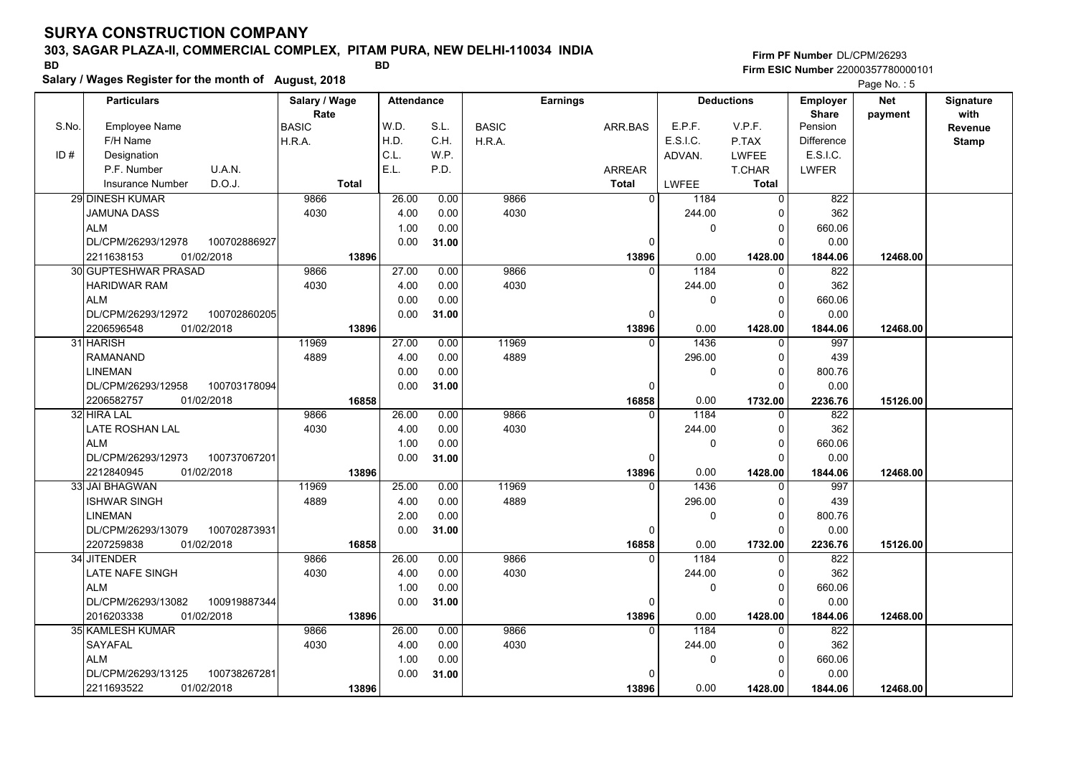### **303, SAGAR PLAZA-II, COMMERCIAL COMPLEX, PITAM PURA, NEW DELHI-110034 INDIA**

**Firm PF Number**DL/CPM/26293**Firm ESIC Number** 22000357780000101

|       | Salary / Wages Register for the month of August, 2018 |               |                   |       |              |                 |             | Page No.: 5       |                 |            |              |
|-------|-------------------------------------------------------|---------------|-------------------|-------|--------------|-----------------|-------------|-------------------|-----------------|------------|--------------|
|       | <b>Particulars</b>                                    | Salary / Wage | <b>Attendance</b> |       |              | <b>Earnings</b> |             | <b>Deductions</b> | <b>Employer</b> | <b>Net</b> | Signature    |
|       |                                                       | Rate          |                   |       |              |                 |             |                   | <b>Share</b>    | payment    | with         |
| S.No. | <b>Employee Name</b>                                  | <b>BASIC</b>  | W.D.              | S.L.  | <b>BASIC</b> | ARR.BAS         | E.P.F.      | V.P.F.            | Pension         |            | Revenue      |
|       | F/H Name                                              | H.R.A.        | H.D.              | C.H.  | H.R.A.       |                 | E.S.I.C.    | P.TAX             | Difference      |            | <b>Stamp</b> |
| ID#   | Designation                                           |               | C.L.              | W.P.  |              |                 | ADVAN.      | <b>LWFEE</b>      | E.S.I.C.        |            |              |
|       | P.F. Number<br>U.A.N.                                 |               | E.L.              | P.D.  |              | <b>ARREAR</b>   |             | <b>T.CHAR</b>     | LWFER           |            |              |
|       | D.O.J.<br><b>Insurance Number</b>                     | <b>Total</b>  |                   |       |              | <b>Total</b>    | LWFEE       | <b>Total</b>      |                 |            |              |
|       | 29 DINESH KUMAR                                       | 9866          | 26.00             | 0.00  | 9866         | $\Omega$        | 1184        | $\Omega$          | 822             |            |              |
|       | JAMUNA DASS                                           | 4030          | 4.00              | 0.00  | 4030         |                 | 244.00      |                   | 362             |            |              |
|       | <b>ALM</b>                                            |               | 1.00              | 0.00  |              |                 | 0           | 0                 | 660.06          |            |              |
|       | DL/CPM/26293/12978<br>100702886927                    |               | 0.00              | 31.00 |              | $\Omega$        |             | $\Omega$          | 0.00            |            |              |
|       | 01/02/2018<br>2211638153                              | 13896         |                   |       |              | 13896           | 0.00        | 1428.00           | 1844.06         | 12468.00   |              |
|       | 30 GUPTESHWAR PRASAD                                  | 9866          | 27.00             | 0.00  | 9866         |                 | 1184        | O                 | 822             |            |              |
|       | <b>HARIDWAR RAM</b>                                   | 4030          | 4.00              | 0.00  | 4030         |                 | 244.00      | $\Omega$          | 362             |            |              |
|       | <b>ALM</b>                                            |               | 0.00              | 0.00  |              |                 | 0           | $\Omega$          | 660.06          |            |              |
|       | DL/CPM/26293/12972<br>100702860205                    |               | 0.00              | 31.00 |              | $\Omega$        |             | ŋ                 | 0.00            |            |              |
|       | 01/02/2018<br>2206596548                              | 13896         |                   |       |              | 13896           | 0.00        | 1428.00           | 1844.06         | 12468.00   |              |
|       | 31 HARISH                                             | 11969         | 27.00             | 0.00  | 11969        | $\Omega$        | 1436        | 0                 | 997             |            |              |
|       | <b>RAMANAND</b>                                       | 4889          | 4.00              | 0.00  | 4889         |                 | 296.00      | 0                 | 439             |            |              |
|       | <b>LINEMAN</b>                                        |               | 0.00              | 0.00  |              |                 | $\Omega$    | $\Omega$          | 800.76          |            |              |
|       | DL/CPM/26293/12958<br>100703178094                    |               | 0.00              | 31.00 |              | $\Omega$        |             | $\Omega$          | 0.00            |            |              |
|       | 2206582757<br>01/02/2018                              | 16858         |                   |       |              | 16858           | 0.00        | 1732.00           | 2236.76         | 15126.00   |              |
|       | 32 HIRA LAL                                           | 9866          | 26.00             | 0.00  | 9866         | $\Omega$        | 1184        | $\Omega$          | 822             |            |              |
|       | LATE ROSHAN LAL                                       | 4030          | 4.00              | 0.00  | 4030         |                 | 244.00      | $\Omega$          | 362             |            |              |
|       | <b>ALM</b>                                            |               | 1.00              | 0.00  |              |                 | 0           | 0                 | 660.06          |            |              |
|       | DL/CPM/26293/12973<br>100737067201                    |               | 0.00              | 31.00 |              | $\Omega$        |             | ŋ                 | 0.00            |            |              |
|       | 01/02/2018<br>2212840945                              | 13896         |                   |       |              | 13896           | 0.00        | 1428.00           | 1844.06         | 12468.00   |              |
|       | 33 JAI BHAGWAN                                        | 11969         | 25.00             | 0.00  | 11969        |                 | 1436        | 0                 | 997             |            |              |
|       | <b>ISHWAR SINGH</b>                                   | 4889          | 4.00              | 0.00  | 4889         |                 | 296.00      | $\Omega$          | 439             |            |              |
|       | <b>LINEMAN</b>                                        |               | 2.00              | 0.00  |              |                 | $\mathbf 0$ | $\Omega$          | 800.76          |            |              |
|       | DL/CPM/26293/13079<br>100702873931                    |               | 0.00              | 31.00 |              | $\Omega$        |             | $\Omega$          | 0.00            |            |              |
|       | 2207259838<br>01/02/2018                              | 16858         |                   |       |              | 16858           | 0.00        | 1732.00           | 2236.76         | 15126.00   |              |
|       | 34 JITENDER                                           | 9866          | 26.00             | 0.00  | 9866         | $\Omega$        | 1184        | $\Omega$          | 822             |            |              |
|       | LATE NAFE SINGH                                       | 4030          | 4.00              | 0.00  | 4030         |                 | 244.00      | $\Omega$          | 362             |            |              |
|       | <b>ALM</b>                                            |               | 1.00              | 0.00  |              |                 | 0           | 0                 | 660.06          |            |              |
|       | 100919887344<br>DL/CPM/26293/13082                    |               | 0.00              | 31.00 |              | $\Omega$        |             | $\Omega$          | 0.00            |            |              |
|       | 2016203338<br>01/02/2018                              | 13896         |                   |       |              | 13896           | 0.00        | 1428.00           | 1844.06         | 12468.00   |              |
|       | 35 KAMLESH KUMAR                                      | 9866          | 26.00             | 0.00  | 9866         | $\Omega$        | 1184        | U                 | 822             |            |              |
|       | SAYAFAL                                               | 4030          | 4.00              | 0.00  | 4030         |                 | 244.00      | $\Omega$          | 362             |            |              |
|       | <b>ALM</b>                                            |               | 1.00              | 0.00  |              |                 | $\mathbf 0$ | $\Omega$          | 660.06          |            |              |
|       | DL/CPM/26293/13125<br>100738267281                    |               | 0.00              | 31.00 |              |                 |             | $\Omega$          | 0.00            |            |              |
|       | 2211693522<br>01/02/2018                              | 13896         |                   |       |              | 13896           | 0.00        | 1428.00           | 1844.06         | 12468.00   |              |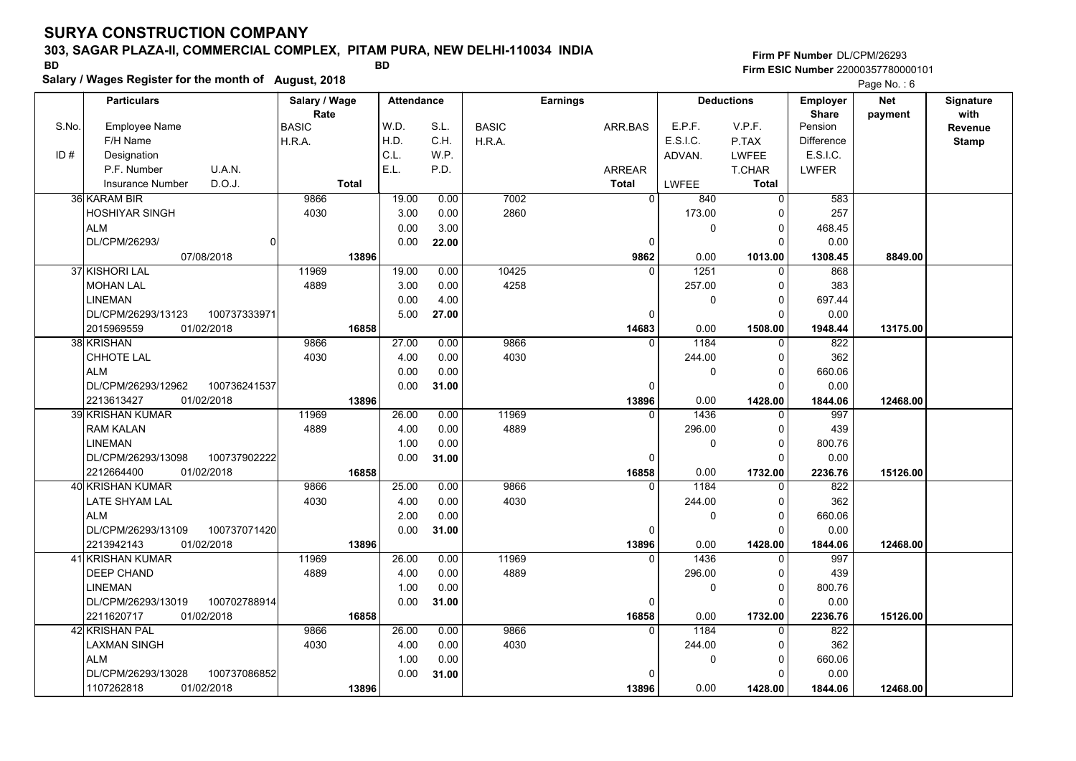### **303, SAGAR PLAZA-II, COMMERCIAL COMPLEX, PITAM PURA, NEW DELHI-110034 INDIA**

**Salary / Wages Register for the month of August, 2018 BD BD**

#### **Firm PF Number**DL/CPM/26293**Firm ESIC Number** 22000357780000101

|       | <b>Particulars</b>                 | Salary / Wage        | <b>Attendance</b> |       |              | <b>Earnings</b> |              | <b>Deductions</b> | Employer                | <b>Net</b> | Signature              |
|-------|------------------------------------|----------------------|-------------------|-------|--------------|-----------------|--------------|-------------------|-------------------------|------------|------------------------|
| S.No. | Employee Name                      | Rate<br><b>BASIC</b> | W.D.              | S.L.  | <b>BASIC</b> | ARR.BAS         | E.P.F.       | V.P.F.            | <b>Share</b><br>Pension | payment    | with<br><b>Revenue</b> |
|       | F/H Name                           | H.R.A.               | H.D.              | C.H.  | H.R.A.       |                 | E.S.I.C.     | P.TAX             | <b>Difference</b>       |            | <b>Stamp</b>           |
| ID#   | Designation                        |                      | C.L.              | W.P.  |              |                 | ADVAN.       | <b>LWFEE</b>      | E.S.I.C.                |            |                        |
|       | U.A.N.<br>P.F. Number              |                      | E.L.              | P.D.  |              | ARREAR          |              | T.CHAR            | <b>LWFER</b>            |            |                        |
|       | D.O.J.<br><b>Insurance Number</b>  | <b>Total</b>         |                   |       |              | <b>Total</b>    | <b>LWFEE</b> | Total             |                         |            |                        |
|       | 36 KARAM BIR                       | 9866                 | 19.00             | 0.00  | 7002         | $\Omega$        | 840          | 0                 | 583                     |            |                        |
|       | <b>HOSHIYAR SINGH</b>              | 4030                 | 3.00              | 0.00  | 2860         |                 | 173.00       | $\Omega$          | 257                     |            |                        |
|       | <b>ALM</b>                         |                      | 0.00              | 3.00  |              |                 | 0            | $\mathbf 0$       | 468.45                  |            |                        |
|       | DL/CPM/26293/<br>$\Omega$          |                      | 0.00              | 22.00 |              | $\mathbf 0$     |              | $\Omega$          | 0.00                    |            |                        |
|       | 07/08/2018                         | 13896                |                   |       |              | 9862            | 0.00         | 1013.00           | 1308.45                 | 8849.00    |                        |
|       | 37 KISHORI LAL                     | 11969                | 19.00             | 0.00  | 10425        | $\Omega$        | 1251         | 0                 | 868                     |            |                        |
|       | <b>MOHAN LAL</b>                   | 4889                 | 3.00              | 0.00  | 4258         |                 | 257.00       | $\Omega$          | 383                     |            |                        |
|       | <b>LINEMAN</b>                     |                      | 0.00              | 4.00  |              |                 | 0            | $\Omega$          | 697.44                  |            |                        |
|       | DL/CPM/26293/13123<br>100737333971 |                      | 5.00              | 27.00 |              | $\mathbf 0$     |              | $\Omega$          | 0.00                    |            |                        |
|       | 01/02/2018<br>2015969559           | 16858                |                   |       |              | 14683           | 0.00         | 1508.00           | 1948.44                 | 13175.00   |                        |
|       | 38 KRISHAN                         | 9866                 | 27.00             | 0.00  | 9866         | $\Omega$        | 1184         | 0                 | 822                     |            |                        |
|       | <b>CHHOTE LAL</b>                  | 4030                 | 4.00              | 0.00  | 4030         |                 | 244.00       | $\Omega$          | 362                     |            |                        |
|       | <b>ALM</b>                         |                      | 0.00              | 0.00  |              |                 | 0            | $\Omega$          | 660.06                  |            |                        |
|       | DL/CPM/26293/12962<br>100736241537 |                      | 0.00              | 31.00 |              | $\mathbf 0$     |              | $\Omega$          | 0.00                    |            |                        |
|       | 2213613427<br>01/02/2018           | 13896                |                   |       |              | 13896           | 0.00         | 1428.00           | 1844.06                 | 12468.00   |                        |
|       | <b>39 KRISHAN KUMAR</b>            | 11969                | 26.00             | 0.00  | 11969        | $\Omega$        | 1436         | $\Omega$          | 997                     |            |                        |
|       | <b>RAM KALAN</b>                   | 4889                 | 4.00              | 0.00  | 4889         |                 | 296.00       | $\Omega$          | 439                     |            |                        |
|       | <b>LINEMAN</b>                     |                      | 1.00              | 0.00  |              |                 | 0            | $\Omega$          | 800.76                  |            |                        |
|       | DL/CPM/26293/13098<br>100737902222 |                      | 0.00              | 31.00 |              | $\mathbf 0$     |              | $\Omega$          | 0.00                    |            |                        |
|       | 2212664400<br>01/02/2018           | 16858                |                   |       |              | 16858           | 0.00         | 1732.00           | 2236.76                 | 15126.00   |                        |
|       | 40 KRISHAN KUMAR                   | 9866                 | 25.00             | 0.00  | 9866         | $\Omega$        | 1184         | $\Omega$          | 822                     |            |                        |
|       | LATE SHYAM LAL                     | 4030                 | 4.00              | 0.00  | 4030         |                 | 244.00       | $\Omega$          | 362                     |            |                        |
|       | <b>ALM</b>                         |                      | 2.00              | 0.00  |              |                 | 0            | $\mathbf 0$       | 660.06                  |            |                        |
|       | 100737071420<br>DL/CPM/26293/13109 |                      | 0.00              | 31.00 |              | 0               |              | $\Omega$          | 0.00                    |            |                        |
|       | 2213942143<br>01/02/2018           | 13896                |                   |       |              | 13896           | 0.00         | 1428.00           | 1844.06                 | 12468.00   |                        |
|       | 41 KRISHAN KUMAR                   | 11969                | 26.00             | 0.00  | 11969        | $\Omega$        | 1436         | $\Omega$          | 997                     |            |                        |
|       | DEEP CHAND                         | 4889                 | 4.00              | 0.00  | 4889         |                 | 296.00       | $\Omega$          | 439                     |            |                        |
|       | <b>LINEMAN</b>                     |                      | 1.00              | 0.00  |              |                 | 0            | $\mathbf 0$       | 800.76                  |            |                        |
|       | 100702788914<br>DL/CPM/26293/13019 |                      | 0.00              | 31.00 |              | $\mathbf 0$     |              | $\Omega$          | 0.00                    |            |                        |
|       | 2211620717<br>01/02/2018           | 16858                |                   |       |              | 16858           | 0.00         | 1732.00           | 2236.76                 | 15126.00   |                        |
|       | 42 KRISHAN PAL                     | 9866                 | 26.00             | 0.00  | 9866         | $\Omega$        | 1184         | $\Omega$          | 822                     |            |                        |
|       | <b>LAXMAN SINGH</b>                | 4030                 | 4.00              | 0.00  | 4030         |                 | 244.00       | $\mathbf 0$       | 362                     |            |                        |
|       | <b>ALM</b>                         |                      | 1.00              | 0.00  |              |                 | 0            | $\mathbf 0$       | 660.06                  |            |                        |
|       | 100737086852<br>DL/CPM/26293/13028 |                      | 0.00              | 31.00 |              | $\Omega$        |              | $\Omega$          | 0.00                    |            |                        |
|       | 1107262818<br>01/02/2018           | 13896                |                   |       |              | 13896           | 0.00         | 1428.00           | 1844.06                 | 12468.00   |                        |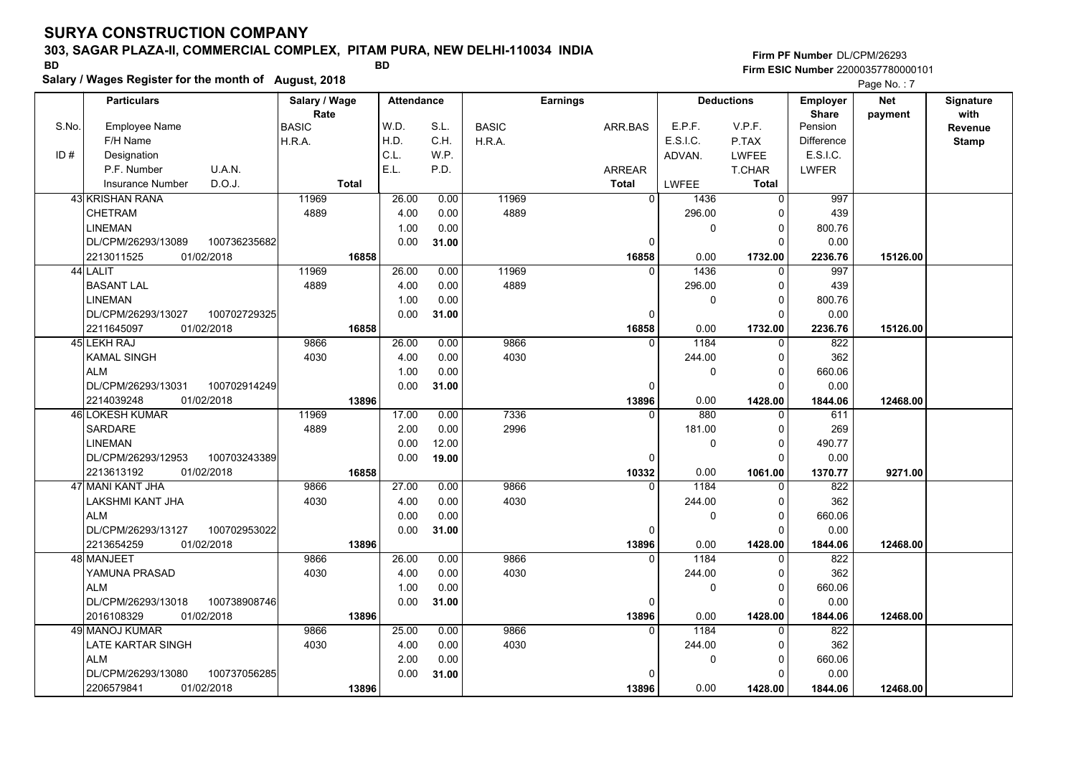### **303, SAGAR PLAZA-II, COMMERCIAL COMPLEX, PITAM PURA, NEW DELHI-110034 INDIA**

**Firm PF Number**DL/CPM/26293**Firm ESIC Number** 22000357780000101

|       | Salary / Wages Register for the month of August, 2018 |               |                   |       |              |                 |              |                   | Page No.: 7       |            |                  |
|-------|-------------------------------------------------------|---------------|-------------------|-------|--------------|-----------------|--------------|-------------------|-------------------|------------|------------------|
|       | <b>Particulars</b>                                    | Salary / Wage | <b>Attendance</b> |       |              | <b>Earnings</b> |              | <b>Deductions</b> | <b>Employer</b>   | <b>Net</b> | <b>Signature</b> |
|       |                                                       | Rate          |                   |       |              |                 |              |                   | <b>Share</b>      | payment    | with             |
| S.No. | <b>Employee Name</b>                                  | <b>BASIC</b>  | W.D.              | S.L.  | <b>BASIC</b> | ARR.BAS         | E.P.F.       | V.P.F.            | Pension           |            | Revenue          |
|       | F/H Name                                              | H.R.A.        | H.D.              | C.H.  | H.R.A.       |                 | E.S.I.C.     | P.TAX             | <b>Difference</b> |            | <b>Stamp</b>     |
| ID#   | Designation                                           |               | C.L.              | W.P.  |              |                 | ADVAN.       | <b>LWFEE</b>      | E.S.I.C.          |            |                  |
|       | U.A.N.<br>P.F. Number                                 |               | E.L.              | P.D.  |              | <b>ARREAR</b>   |              | T.CHAR            | <b>LWFER</b>      |            |                  |
|       | D.O.J.<br><b>Insurance Number</b>                     | <b>Total</b>  |                   |       |              | <b>Total</b>    | LWFEE        | <b>Total</b>      |                   |            |                  |
|       | 43 KRISHAN RANA                                       | 11969         | 26.00             | 0.00  | 11969        | $\mathbf 0$     | 1436         | $\overline{0}$    | 997               |            |                  |
|       | <b>CHETRAM</b>                                        | 4889          | 4.00              | 0.00  | 4889         |                 | 296.00       | $\Omega$          | 439               |            |                  |
|       | <b>LINEMAN</b>                                        |               | 1.00              | 0.00  |              |                 | $\mathbf{0}$ | 0                 | 800.76            |            |                  |
|       | DL/CPM/26293/13089<br>100736235682                    |               | 0.00              | 31.00 |              | 0               |              | 0                 | 0.00              |            |                  |
|       | 01/02/2018<br>2213011525                              | 16858         |                   |       |              | 16858           | 0.00         | 1732.00           | 2236.76           | 15126.00   |                  |
|       | 44 LALIT                                              | 11969         | 26.00             | 0.00  | 11969        | $\Omega$        | 1436         | $\Omega$          | 997               |            |                  |
|       | <b>BASANT LAL</b>                                     | 4889          | 4.00              | 0.00  | 4889         |                 | 296.00       | 0                 | 439               |            |                  |
|       | <b>LINEMAN</b>                                        |               | 1.00              | 0.00  |              |                 | $\mathbf{0}$ | $\Omega$          | 800.76            |            |                  |
|       | DL/CPM/26293/13027<br>100702729325                    |               | 0.00              | 31.00 |              | 0               |              | 0                 | 0.00              |            |                  |
|       | 2211645097<br>01/02/2018                              | 16858         |                   |       |              | 16858           | 0.00         | 1732.00           | 2236.76           | 15126.00   |                  |
|       | 45 LEKH RAJ                                           | 9866          | 26.00             | 0.00  | 9866         | 0               | 1184         | 0                 | 822               |            |                  |
|       | <b>KAMAL SINGH</b>                                    | 4030          | 4.00              | 0.00  | 4030         |                 | 244.00       | $\Omega$          | 362               |            |                  |
|       | <b>ALM</b>                                            |               | 1.00              | 0.00  |              |                 | $\Omega$     | $\Omega$          | 660.06            |            |                  |
|       | DL/CPM/26293/13031<br>100702914249                    |               | 0.00              | 31.00 |              | $\mathbf 0$     |              | $\Omega$          | 0.00              |            |                  |
|       | 2214039248<br>01/02/2018                              | 13896         |                   |       |              | 13896           | 0.00         | 1428.00           | 1844.06           | 12468.00   |                  |
|       | 46 LOKESH KUMAR                                       | 11969         | 17.00             | 0.00  | 7336         | $\mathbf{0}$    | 880          | $\Omega$          | 611               |            |                  |
|       | SARDARE                                               | 4889          | 2.00              | 0.00  | 2996         |                 | 181.00       | 0                 | 269               |            |                  |
|       | <b>LINEMAN</b>                                        |               | 0.00              | 12.00 |              |                 | $\mathbf 0$  | 0                 | 490.77            |            |                  |
|       | DL/CPM/26293/12953<br>100703243389                    |               | 0.00              | 19.00 |              | 0               |              | $\Omega$          | 0.00              |            |                  |
|       | 2213613192<br>01/02/2018                              | 16858         |                   |       |              | 10332           | 0.00         | 1061.00           | 1370.77           | 9271.00    |                  |
|       | 47 MANI KANT JHA                                      | 9866          | 27.00             | 0.00  | 9866         | $\Omega$        | 1184         | $\Omega$          | 822               |            |                  |
|       | <b>LAKSHMI KANT JHA</b>                               | 4030          | 4.00              | 0.00  | 4030         |                 | 244.00       | 0                 | 362               |            |                  |
|       | <b>ALM</b>                                            |               | 0.00              | 0.00  |              |                 | $\mathbf{0}$ | $\Omega$          | 660.06            |            |                  |
|       | DL/CPM/26293/13127<br>100702953022                    |               | 0.00              | 31.00 |              | 0               |              | $\Omega$          | 0.00              |            |                  |
|       | 2213654259<br>01/02/2018                              | 13896         |                   |       |              | 13896           | 0.00         | 1428.00           | 1844.06           | 12468.00   |                  |
|       | 48 MANJEET                                            | 9866          | 26.00             | 0.00  | 9866         | $\mathbf 0$     | 1184         | 0                 | 822               |            |                  |
|       | YAMUNA PRASAD                                         | 4030          | 4.00              | 0.00  | 4030         |                 | 244.00       | 0                 | 362               |            |                  |
|       | <b>ALM</b>                                            |               | 1.00              | 0.00  |              |                 | $\mathbf{0}$ | 0                 | 660.06            |            |                  |
|       | 100738908746<br>DL/CPM/26293/13018                    |               | 0.00              | 31.00 |              | $\mathbf 0$     |              | $\Omega$          | 0.00              |            |                  |
|       | 2016108329<br>01/02/2018                              | 13896         |                   |       |              | 13896           | 0.00         | 1428.00           | 1844.06           | 12468.00   |                  |
|       | 49 MANOJ KUMAR                                        | 9866          | 25.00             | 0.00  | 9866         | $\Omega$        | 1184         | $\Omega$          | 822               |            |                  |
|       | LATE KARTAR SINGH                                     | 4030          | 4.00              | 0.00  | 4030         |                 | 244.00       | $\Omega$          | 362               |            |                  |
|       | <b>ALM</b>                                            |               | 2.00              | 0.00  |              |                 | $\mathbf{0}$ | 0                 | 660.06            |            |                  |
|       | DL/CPM/26293/13080<br>100737056285                    |               | 0.00              | 31.00 |              | 0               |              | $\Omega$          | 0.00              |            |                  |
|       | 2206579841<br>01/02/2018                              | 13896         |                   |       |              | 13896           | 0.00         | 1428.00           | 1844.06           | 12468.00   |                  |
|       |                                                       |               |                   |       |              |                 |              |                   |                   |            |                  |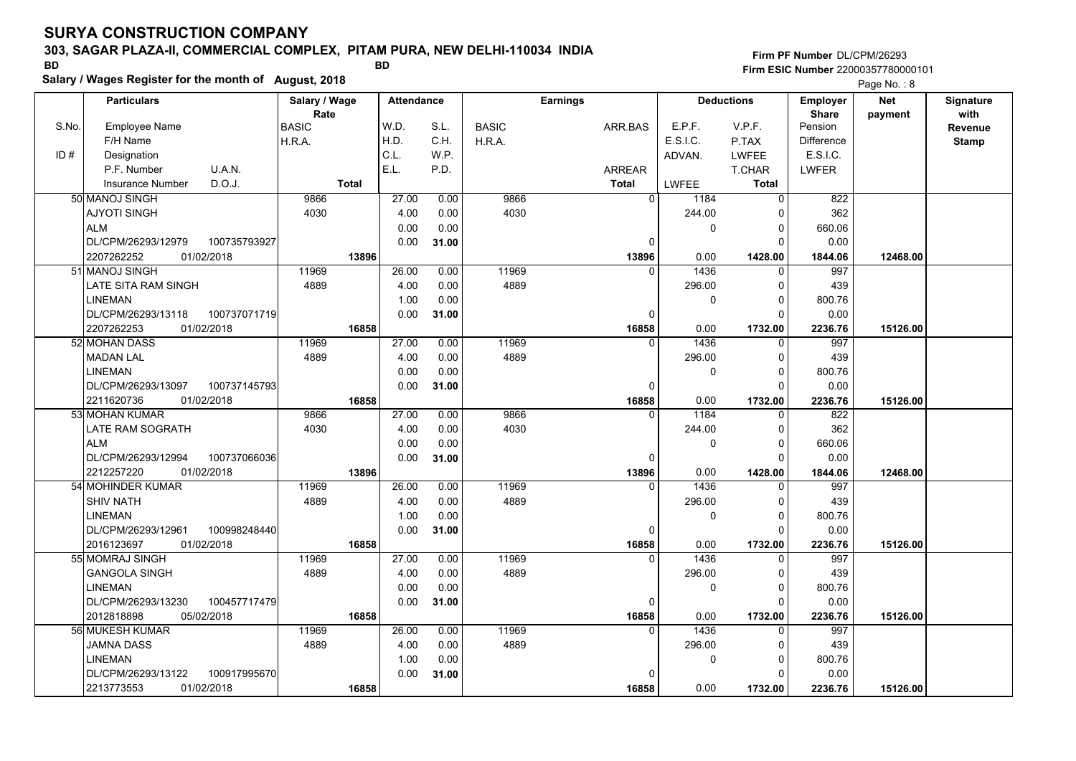### **303, SAGAR PLAZA-II, COMMERCIAL COMPLEX, PITAM PURA, NEW DELHI-110034 INDIA**

**Salary / Wages Register for the month of August, 2018 BD BD Firm PF Number**DL/CPM/26293**Firm ESIC Number** 22000357780000101

|       | <b>Particulars</b>                 | Salary / Wage        | <b>Attendance</b> |       |              | <b>Earnings</b> |              | <b>Deductions</b> | <b>Employer</b>         | <b>Net</b> | Signature       |
|-------|------------------------------------|----------------------|-------------------|-------|--------------|-----------------|--------------|-------------------|-------------------------|------------|-----------------|
| S.No. | <b>Employee Name</b>               | Rate<br><b>BASIC</b> | W.D.              | S.L.  | <b>BASIC</b> | ARR.BAS         | E.P.F.       | V.P.F.            | <b>Share</b><br>Pension | payment    | with<br>Revenue |
|       | F/H Name                           | H.R.A.               | H.D.              | C.H.  | H.R.A.       |                 | E.S.I.C.     | P.TAX             | Difference              |            |                 |
| ID#   | Designation                        |                      | C.L.              | W.P.  |              |                 |              |                   | E.S.I.C.                |            | <b>Stamp</b>    |
|       | U.A.N.<br>P.F. Number              |                      | E.L.              | P.D.  |              |                 | ADVAN.       | <b>LWFEE</b>      |                         |            |                 |
|       |                                    |                      |                   |       |              | <b>ARREAR</b>   |              | T.CHAR            | <b>LWFER</b>            |            |                 |
|       | D.O.J.<br><b>Insurance Number</b>  | <b>Total</b>         |                   |       |              | <b>Total</b>    | <b>LWFEE</b> | Total             |                         |            |                 |
|       | 50 MANOJ SINGH                     | 9866                 | 27.00             | 0.00  | 9866         | $\mathbf{0}$    | 1184         | 0                 | 822                     |            |                 |
|       | <b>AJYOTI SINGH</b>                | 4030                 | 4.00              | 0.00  | 4030         |                 | 244.00       | $\mathbf 0$       | 362                     |            |                 |
|       | <b>ALM</b>                         |                      | 0.00              | 0.00  |              |                 | 0            | $\mathbf 0$       | 660.06                  |            |                 |
|       | DL/CPM/26293/12979<br>100735793927 |                      | 0.00              | 31.00 |              | 0               |              | $\mathbf 0$       | 0.00                    |            |                 |
|       | 2207262252<br>01/02/2018           | 13896                |                   |       |              | 13896           | 0.00         | 1428.00           | 1844.06                 | 12468.00   |                 |
|       | 51 MANOJ SINGH                     | 11969                | 26.00             | 0.00  | 11969        | $\Omega$        | 1436         | $\mathbf 0$       | 997                     |            |                 |
|       | LATE SITA RAM SINGH                | 4889                 | 4.00              | 0.00  | 4889         |                 | 296.00       | $\mathbf 0$       | 439                     |            |                 |
|       | <b>LINEMAN</b>                     |                      | 1.00              | 0.00  |              |                 | 0            | $\mathbf 0$       | 800.76                  |            |                 |
|       | DL/CPM/26293/13118<br>100737071719 |                      | 0.00              | 31.00 |              | $\Omega$        |              | $\Omega$          | 0.00                    |            |                 |
|       | 2207262253<br>01/02/2018           | 16858                |                   |       |              | 16858           | 0.00         | 1732.00           | 2236.76                 | 15126.00   |                 |
|       | 52 MOHAN DASS                      | 11969                | 27.00             | 0.00  | 11969        |                 | 1436         | 0                 | 997                     |            |                 |
|       | <b>MADAN LAL</b>                   | 4889                 | 4.00              | 0.00  | 4889         |                 | 296.00       | $\mathbf 0$       | 439                     |            |                 |
|       | <b>LINEMAN</b>                     |                      | 0.00              | 0.00  |              |                 | $\mathbf 0$  | $\mathbf 0$       | 800.76                  |            |                 |
|       | DL/CPM/26293/13097<br>100737145793 |                      | 0.00              | 31.00 |              | 0               |              | $\Omega$          | 0.00                    |            |                 |
|       | 2211620736<br>01/02/2018           | 16858                |                   |       |              | 16858           | 0.00         | 1732.00           | 2236.76                 | 15126.00   |                 |
|       | 53 MOHAN KUMAR                     | 9866                 | 27.00             | 0.00  | 9866         | $\Omega$        | 1184         | $\mathbf 0$       | 822                     |            |                 |
|       | LATE RAM SOGRATH                   | 4030                 | 4.00              | 0.00  | 4030         |                 | 244.00       | $\mathbf 0$       | 362                     |            |                 |
|       | <b>ALM</b>                         |                      | 0.00              | 0.00  |              |                 | 0            | $\mathbf 0$       | 660.06                  |            |                 |
|       | DL/CPM/26293/12994<br>100737066036 |                      | 0.00              | 31.00 |              | $\Omega$        |              | $\Omega$          | 0.00                    |            |                 |
|       | 2212257220<br>01/02/2018           | 13896                |                   |       |              | 13896           | 0.00         | 1428.00           | 1844.06                 | 12468.00   |                 |
|       | 54 MOHINDER KUMAR                  | 11969                | 26.00             | 0.00  | 11969        | $\Omega$        | 1436         | $\Omega$          | 997                     |            |                 |
|       | <b>SHIV NATH</b>                   | 4889                 | 4.00              | 0.00  | 4889         |                 | 296.00       | $\Omega$          | 439                     |            |                 |
|       | <b>LINEMAN</b>                     |                      | 1.00              | 0.00  |              |                 | $\mathbf 0$  | $\mathbf 0$       | 800.76                  |            |                 |
|       | 100998248440<br>DL/CPM/26293/12961 |                      | 0.00              | 31.00 |              | $\mathbf{0}$    |              | $\Omega$          | 0.00                    |            |                 |
|       | 01/02/2018<br>2016123697           | 16858                |                   |       |              | 16858           | 0.00         | 1732.00           | 2236.76                 | 15126.00   |                 |
|       | 55 MOMRAJ SINGH                    | 11969                | 27.00             | 0.00  | 11969        | $\Omega$        | 1436         | $\mathbf 0$       | 997                     |            |                 |
|       | <b>GANGOLA SINGH</b>               | 4889                 | 4.00              | 0.00  | 4889         |                 | 296.00       | 0                 | 439                     |            |                 |
|       | <b>LINEMAN</b>                     |                      | 0.00              | 0.00  |              |                 | $\mathbf 0$  | $\mathbf 0$       | 800.76                  |            |                 |
|       | DL/CPM/26293/13230<br>100457717479 |                      | 0.00              | 31.00 |              | $\Omega$        |              | $\Omega$          | 0.00                    |            |                 |
|       | 05/02/2018<br>2012818898           | 16858                |                   |       |              | 16858           | 0.00         | 1732.00           | 2236.76                 | 15126.00   |                 |
|       | 56 MUKESH KUMAR                    | 11969                | 26.00             | 0.00  | 11969        | $\Omega$        | 1436         | $\mathbf 0$       | 997                     |            |                 |
|       | <b>JAMNA DASS</b>                  | 4889                 | 4.00              | 0.00  | 4889         |                 | 296.00       | $\mathbf 0$       | 439                     |            |                 |
|       | <b>LINEMAN</b>                     |                      | 1.00              | 0.00  |              |                 | $\mathbf 0$  | $\mathbf 0$       | 800.76                  |            |                 |
|       | DL/CPM/26293/13122<br>100917995670 |                      | 0.00              | 31.00 |              | $\Omega$        |              | $\Omega$          | 0.00                    |            |                 |
|       | 2213773553<br>01/02/2018           | 16858                |                   |       |              | 16858           | 0.00         | 1732.00           | 2236.76                 | 15126.00   |                 |
|       |                                    |                      |                   |       |              |                 |              |                   |                         |            |                 |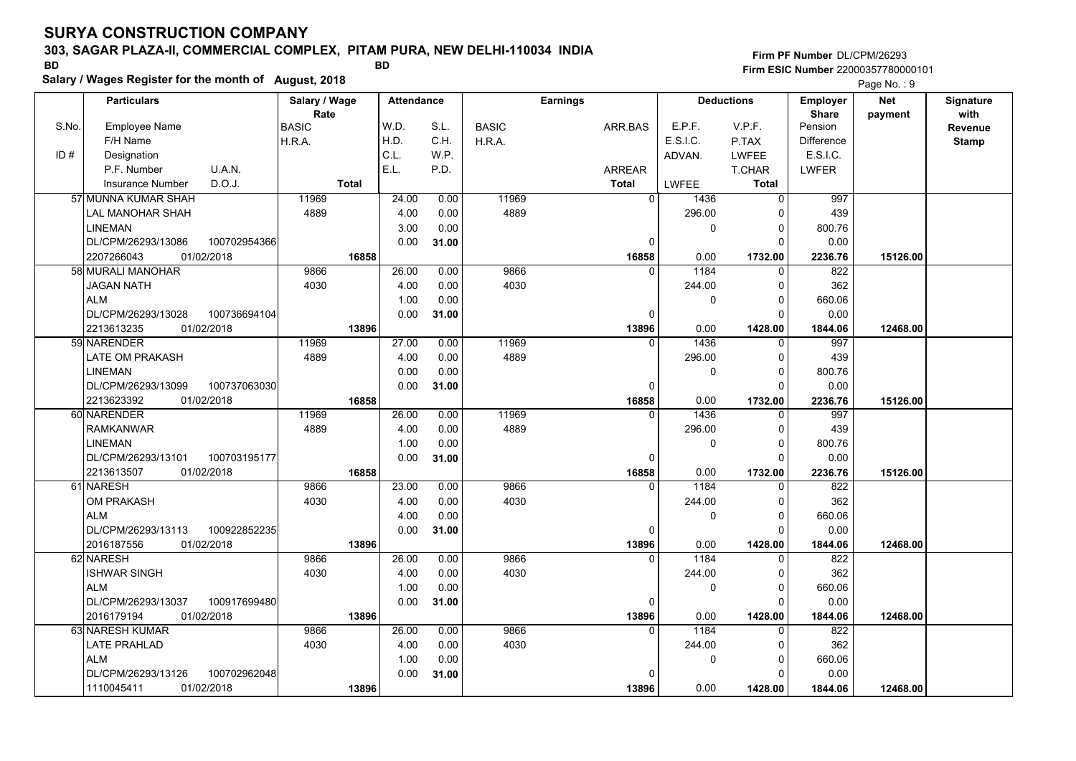### **303, SAGAR PLAZA-II, COMMERCIAL COMPLEX, PITAM PURA, NEW DELHI-110034 INDIA**

**Salary / Wages Register for the month of August, 2018 BD BD**

### **Firm PF Number**DL/CPM/26293**Firm ESIC Number** 22000357780000101

|       | <b>Particulars</b>       |              | Salary / Wage        |              | <b>Attendance</b> |       |              | <b>Earnings</b> |                |              | <b>Deductions</b> | <b>Employer</b>         | <b>Net</b> | Signature              |
|-------|--------------------------|--------------|----------------------|--------------|-------------------|-------|--------------|-----------------|----------------|--------------|-------------------|-------------------------|------------|------------------------|
| S.No. | <b>Employee Name</b>     |              | Rate<br><b>BASIC</b> |              | W.D.              | S.L.  | <b>BASIC</b> | ARR.BAS         |                | E.P.F.       | V.P.F.            | <b>Share</b><br>Pension | payment    | with<br><b>Revenue</b> |
|       | F/H Name                 |              | H.R.A.               |              | H.D.              | C.H.  | H.R.A.       |                 |                | E.S.I.C.     | P.TAX             | <b>Difference</b>       |            | <b>Stamp</b>           |
| ID#   | Designation              |              |                      |              | C.L.              | W.P.  |              |                 |                | ADVAN.       | LWFEE             | E.S.I.C.                |            |                        |
|       | P.F. Number              | U.A.N.       |                      |              | E.L.              | P.D.  |              | <b>ARREAR</b>   |                |              | T.CHAR            | <b>LWFER</b>            |            |                        |
|       | <b>Insurance Number</b>  | D.O.J.       |                      | <b>Total</b> |                   |       |              | <b>Total</b>    |                | <b>LWFEE</b> | Total             |                         |            |                        |
|       | 57 MUNNA KUMAR SHAH      |              | 11969                |              | 24.00             | 0.00  | 11969        |                 | $\overline{0}$ | 1436         | $\Omega$          | 997                     |            |                        |
|       | LAL MANOHAR SHAH         |              | 4889                 |              | 4.00              | 0.00  | 4889         |                 |                | 296.00       | 0                 | 439                     |            |                        |
|       | <b>LINEMAN</b>           |              |                      |              | 3.00              | 0.00  |              |                 |                | 0            | $\Omega$          | 800.76                  |            |                        |
|       | DL/CPM/26293/13086       | 100702954366 |                      |              | 0.00              | 31.00 |              |                 | 0              |              | $\Omega$          | 0.00                    |            |                        |
|       | 2207266043<br>01/02/2018 |              |                      | 16858        |                   |       |              |                 | 16858          | 0.00         | 1732.00           | 2236.76                 | 15126.00   |                        |
|       | 58 MURALI MANOHAR        |              | 9866                 |              | 26.00             | 0.00  | 9866         |                 | $\Omega$       | 1184         | $\mathbf 0$       | 822                     |            |                        |
|       | <b>JAGAN NATH</b>        |              | 4030                 |              | 4.00              | 0.00  | 4030         |                 |                | 244.00       | $\mathbf 0$       | 362                     |            |                        |
|       | <b>ALM</b>               |              |                      |              | 1.00              | 0.00  |              |                 |                | 0            | $\Omega$          | 660.06                  |            |                        |
|       | DL/CPM/26293/13028       | 100736694104 |                      |              | 0.00              | 31.00 |              |                 | 0              |              | $\Omega$          | 0.00                    |            |                        |
|       | 01/02/2018<br>2213613235 |              |                      | 13896        |                   |       |              |                 | 13896          | 0.00         | 1428.00           | 1844.06                 | 12468.00   |                        |
|       | 59 NARENDER              |              | 11969                |              | 27.00             | 0.00  | 11969        |                 | 0              | 1436         | 0                 | 997                     |            |                        |
|       | <b>LATE OM PRAKASH</b>   |              | 4889                 |              | 4.00              | 0.00  | 4889         |                 |                | 296.00       | $\Omega$          | 439                     |            |                        |
|       | <b>LINEMAN</b>           |              |                      |              | 0.00              | 0.00  |              |                 |                | 0            | $\mathbf 0$       | 800.76                  |            |                        |
|       | DL/CPM/26293/13099       | 100737063030 |                      |              | 0.00              | 31.00 |              |                 | $\mathbf 0$    |              | $\Omega$          | 0.00                    |            |                        |
|       | 2213623392<br>01/02/2018 |              |                      | 16858        |                   |       |              |                 | 16858          | 0.00         | 1732.00           | 2236.76                 | 15126.00   |                        |
|       | 60 NARENDER              |              | 11969                |              | 26.00             | 0.00  | 11969        |                 | $\Omega$       | 1436         | $\Omega$          | 997                     |            |                        |
|       | <b>RAMKANWAR</b>         |              | 4889                 |              | 4.00              | 0.00  | 4889         |                 |                | 296.00       | $\mathbf 0$       | 439                     |            |                        |
|       | <b>LINEMAN</b>           |              |                      |              | 1.00              | 0.00  |              |                 |                | 0            | $\Omega$          | 800.76                  |            |                        |
|       | DL/CPM/26293/13101       | 100703195177 |                      |              | 0.00              | 31.00 |              |                 | 0              |              | $\Omega$          | 0.00                    |            |                        |
|       | 2213613507<br>01/02/2018 |              |                      | 16858        |                   |       |              |                 | 16858          | 0.00         | 1732.00           | 2236.76                 | 15126.00   |                        |
|       | 61 NARESH                |              | 9866                 |              | 23.00             | 0.00  | 9866         |                 | $\Omega$       | 1184         | $\Omega$          | 822                     |            |                        |
|       | OM PRAKASH               |              | 4030                 |              | 4.00              | 0.00  | 4030         |                 |                | 244.00       | $\Omega$          | 362                     |            |                        |
|       | <b>ALM</b>               |              |                      |              | 4.00              | 0.00  |              |                 |                | 0            | $\mathbf 0$       | 660.06                  |            |                        |
|       | DL/CPM/26293/13113       | 100922852235 |                      |              | 0.00              | 31.00 |              |                 | 0              |              | $\Omega$          | 0.00                    |            |                        |
|       | 01/02/2018<br>2016187556 |              |                      | 13896        |                   |       |              |                 | 13896          | 0.00         | 1428.00           | 1844.06                 | 12468.00   |                        |
|       | 62 NARESH                |              | 9866                 |              | 26.00             | 0.00  | 9866         |                 | $\Omega$       | 1184         | $\Omega$          | 822                     |            |                        |
|       | <b>ISHWAR SINGH</b>      |              | 4030                 |              | 4.00              | 0.00  | 4030         |                 |                | 244.00       | 0                 | 362                     |            |                        |
|       | <b>ALM</b>               |              |                      |              | 1.00              | 0.00  |              |                 |                | 0            | $\mathbf 0$       | 660.06                  |            |                        |
|       | DL/CPM/26293/13037       | 100917699480 |                      |              | 0.00              | 31.00 |              |                 | 0              |              | $\Omega$          | 0.00                    |            |                        |
|       | 2016179194<br>01/02/2018 |              |                      | 13896        |                   |       |              |                 | 13896          | 0.00         | 1428.00           | 1844.06                 | 12468.00   |                        |
|       | 63 NARESH KUMAR          |              | 9866                 |              | 26.00             | 0.00  | 9866         |                 | $\Omega$       | 1184         | $\Omega$          | 822                     |            |                        |
|       | <b>LATE PRAHLAD</b>      |              | 4030                 |              | 4.00              | 0.00  | 4030         |                 |                | 244.00       | $\mathbf 0$       | 362                     |            |                        |
|       | <b>ALM</b>               |              |                      |              | 1.00              | 0.00  |              |                 |                | 0            | $\mathbf 0$       | 660.06                  |            |                        |
|       | DL/CPM/26293/13126       | 100702962048 |                      |              | 0.00              | 31.00 |              |                 | 0              |              | $\Omega$          | 0.00                    |            |                        |
|       | 01/02/2018<br>1110045411 |              |                      | 13896        |                   |       |              |                 | 13896          | 0.00         | 1428.00           | 1844.06                 | 12468.00   |                        |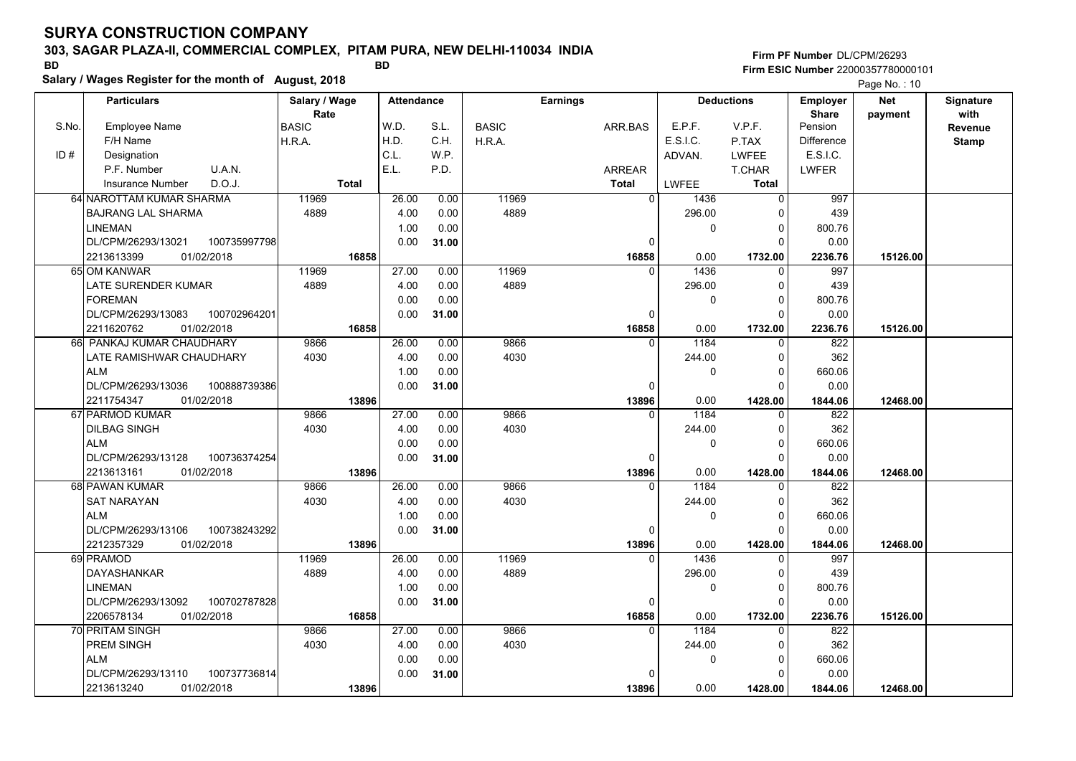### **303, SAGAR PLAZA-II, COMMERCIAL COMPLEX, PITAM PURA, NEW DELHI-110034 INDIA**

**Salary / Wages Register for the month of August, 2018 BD BD**

### **Firm PF Number**DL/CPM/26293**Firm ESIC Number** 22000357780000101

|       | <b>Particulars</b>                 | Salary / Wage<br>Rate | <b>Attendance</b> |       |              | <b>Earnings</b> |                        | <b>Deductions</b> | <b>Employer</b>         | <b>Net</b> | Signature<br>with |
|-------|------------------------------------|-----------------------|-------------------|-------|--------------|-----------------|------------------------|-------------------|-------------------------|------------|-------------------|
| S.No. | Employee Name                      | <b>BASIC</b>          | W.D.              | S.L.  | <b>BASIC</b> | ARR.BAS         | E.P.F.                 | V.P.F.            | <b>Share</b><br>Pension | payment    | Revenue           |
|       | F/H Name                           | H.R.A.                | H.D.              | C.H.  | H.R.A.       |                 | E.S.I.C.               | P.TAX             | <b>Difference</b>       |            | <b>Stamp</b>      |
| ID#   | Designation                        |                       | C.L.              | W.P.  |              |                 | ADVAN.                 | <b>LWFEE</b>      | E.S.I.C.                |            |                   |
|       | P.F. Number<br>U.A.N.              |                       | E.L.              | P.D.  |              | ARREAR          |                        | <b>T.CHAR</b>     | LWFER                   |            |                   |
|       | D.O.J.<br><b>Insurance Number</b>  | <b>Total</b>          |                   |       |              | <b>Total</b>    | <b>LWFEE</b>           | Total             |                         |            |                   |
|       | 64 NAROTTAM KUMAR SHARMA           | 11969                 | 26.00             | 0.00  | 11969        |                 | $\overline{0}$<br>1436 | $\mathbf 0$       | 997                     |            |                   |
|       | <b>BAJRANG LAL SHARMA</b>          | 4889                  | 4.00              | 0.00  | 4889         |                 | 296.00                 | 0                 | 439                     |            |                   |
|       | <b>LINEMAN</b>                     |                       | 1.00              | 0.00  |              |                 | $\Omega$               | $\Omega$          | 800.76                  |            |                   |
|       | 100735997798<br>DL/CPM/26293/13021 |                       | 0.00              | 31.00 |              |                 | 0                      | $\Omega$          | 0.00                    |            |                   |
|       | 01/02/2018<br>2213613399           | 16858                 |                   |       |              | 16858           | 0.00                   | 1732.00           | 2236.76                 | 15126.00   |                   |
|       | 65 OM KANWAR                       | 11969                 | 27.00             | 0.00  | 11969        |                 | 1436<br>$\Omega$       | $\mathbf 0$       | 997                     |            |                   |
|       | LATE SURENDER KUMAR                | 4889                  | 4.00              | 0.00  | 4889         |                 | 296.00                 | $\mathbf 0$       | 439                     |            |                   |
|       | <b>FOREMAN</b>                     |                       | 0.00              | 0.00  |              |                 | 0                      | $\Omega$          | 800.76                  |            |                   |
|       | DL/CPM/26293/13083<br>100702964201 |                       | 0.00              | 31.00 |              |                 | $\Omega$               | $\Omega$          | 0.00                    |            |                   |
|       | 01/02/2018<br>2211620762           | 16858                 |                   |       |              | 16858           | 0.00                   | 1732.00           | 2236.76                 | 15126.00   |                   |
|       | 66 PANKAJ KUMAR CHAUDHARY          | 9866                  | 26.00             | 0.00  | 9866         |                 | 1184<br>$\Omega$       | 0                 | 822                     |            |                   |
|       | LATE RAMISHWAR CHAUDHARY           | 4030                  | 4.00              | 0.00  | 4030         |                 | 244.00                 | $\Omega$          | 362                     |            |                   |
|       | <b>ALM</b>                         |                       | 1.00              | 0.00  |              |                 | 0                      | $\Omega$          | 660.06                  |            |                   |
|       | DL/CPM/26293/13036<br>100888739386 |                       | 0.00              | 31.00 |              |                 | $\Omega$               | $\Omega$          | 0.00                    |            |                   |
|       | 2211754347<br>01/02/2018           | 13896                 |                   |       |              | 13896           | 0.00                   | 1428.00           | 1844.06                 | 12468.00   |                   |
|       | 67 PARMOD KUMAR                    | 9866                  | 27.00             | 0.00  | 9866         |                 | 1184<br>$\Omega$       | $\mathbf 0$       | 822                     |            |                   |
|       | <b>DILBAG SINGH</b>                | 4030                  | 4.00              | 0.00  | 4030         |                 | 244.00                 | 0                 | 362                     |            |                   |
|       | <b>ALM</b>                         |                       | 0.00              | 0.00  |              |                 | 0                      | $\Omega$          | 660.06                  |            |                   |
|       | 100736374254<br>DL/CPM/26293/13128 |                       | 0.00              | 31.00 |              |                 | $\Omega$               | $\Omega$          | 0.00                    |            |                   |
|       | 2213613161<br>01/02/2018           | 13896                 |                   |       |              | 13896           | 0.00                   | 1428.00           | 1844.06                 | 12468.00   |                   |
|       | 68 PAWAN KUMAR                     | 9866                  | 26.00             | 0.00  | 9866         |                 | 1184<br>$\Omega$       | $\Omega$          | 822                     |            |                   |
|       | <b>SAT NARAYAN</b>                 | 4030                  | 4.00              | 0.00  | 4030         |                 | 244.00                 | $\Omega$          | 362                     |            |                   |
|       | <b>ALM</b>                         |                       | 1.00              | 0.00  |              |                 | 0                      | $\mathbf 0$       | 660.06                  |            |                   |
|       | 100738243292<br>DL/CPM/26293/13106 |                       | 0.00              | 31.00 |              |                 | 0                      | $\Omega$          | 0.00                    |            |                   |
|       | 2212357329<br>01/02/2018           | 13896                 |                   |       |              | 13896           | 0.00                   | 1428.00           | 1844.06                 | 12468.00   |                   |
|       | 69 PRAMOD                          | 11969                 | 26.00             | 0.00  | 11969        |                 | 1436<br>$\Omega$       | $\Omega$          | 997                     |            |                   |
|       | DAYASHANKAR                        | 4889                  | 4.00              | 0.00  | 4889         |                 | 296.00                 | $\Omega$          | 439                     |            |                   |
|       | <b>LINEMAN</b>                     |                       | 1.00              | 0.00  |              |                 | 0                      | $\Omega$          | 800.76                  |            |                   |
|       | 100702787828<br>DL/CPM/26293/13092 |                       | 0.00              | 31.00 |              |                 | 0                      | $\Omega$          | 0.00                    |            |                   |
|       | 2206578134<br>01/02/2018           | 16858                 |                   |       |              | 16858           | 0.00                   | 1732.00           | 2236.76                 | 15126.00   |                   |
|       | 70 PRITAM SINGH                    | 9866                  | 27.00             | 0.00  | 9866         |                 | 1184<br>$\Omega$       | 0                 | 822                     |            |                   |
|       | PREM SINGH                         | 4030                  | 4.00              | 0.00  | 4030         |                 | 244.00                 | $\Omega$          | 362                     |            |                   |
|       | <b>ALM</b>                         |                       | 0.00              | 0.00  |              |                 | 0                      | $\Omega$          | 660.06                  |            |                   |
|       | DL/CPM/26293/13110<br>100737736814 |                       | 0.00              | 31.00 |              |                 | $\Omega$               | $\Omega$          | 0.00                    |            |                   |
|       | 01/02/2018<br>2213613240           | 13896                 |                   |       |              | 13896           | 0.00                   | 1428.00           | 1844.06                 | 12468.00   |                   |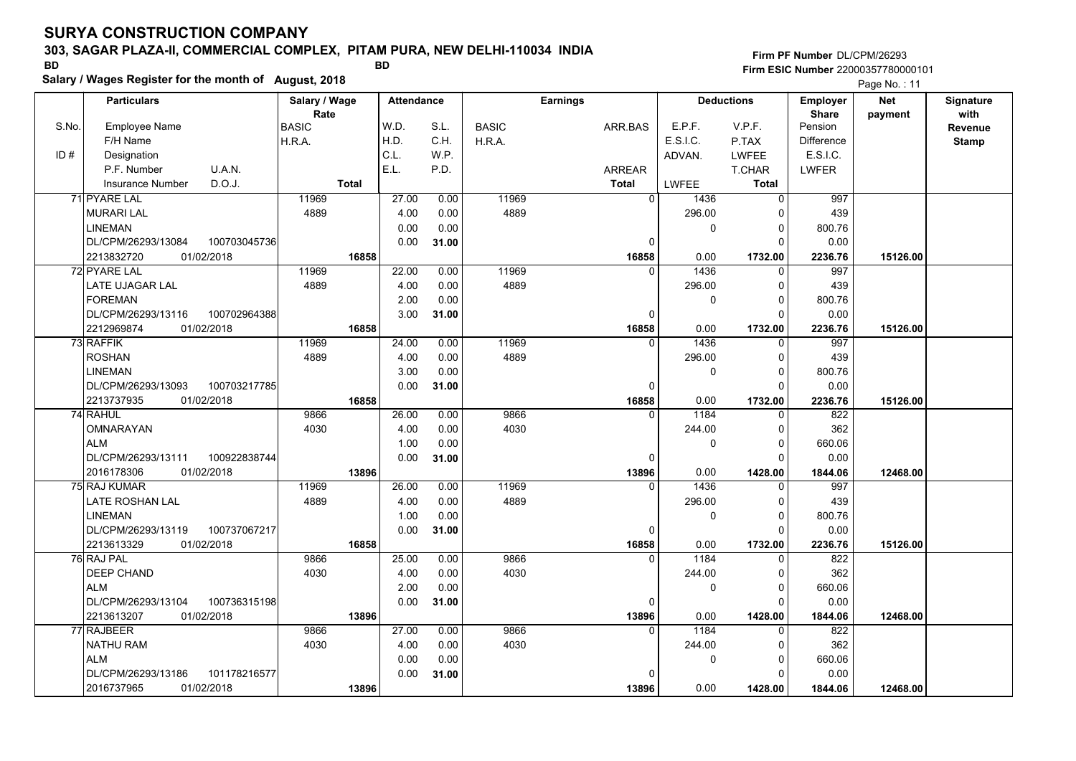### **303, SAGAR PLAZA-II, COMMERCIAL COMPLEX, PITAM PURA, NEW DELHI-110034 INDIA**

**Firm PF Number**DL/CPM/26293**Firm ESIC Number** 22000357780000101

|       | Salary / wages Register for the month of August, 2018 |              |               |              |                   |       |              |                 |                |              |                   |                  | Page No.: 11 |              |
|-------|-------------------------------------------------------|--------------|---------------|--------------|-------------------|-------|--------------|-----------------|----------------|--------------|-------------------|------------------|--------------|--------------|
|       | <b>Particulars</b>                                    |              | Salary / Wage |              | <b>Attendance</b> |       |              | <b>Earnings</b> |                |              | <b>Deductions</b> | <b>Employer</b>  | <b>Net</b>   | Signature    |
|       |                                                       |              | Rate          |              |                   |       |              |                 |                |              |                   | <b>Share</b>     | payment      | with         |
| S.No. | <b>Employee Name</b>                                  |              | <b>BASIC</b>  |              | W.D.              | S.L.  | <b>BASIC</b> |                 | ARR.BAS        | E.P.F.       | V.P.F.            | Pension          |              | Revenue      |
|       | F/H Name                                              |              | H.R.A.        |              | H.D.              | C.H.  | H.R.A.       |                 |                | E.S.I.C.     | P.TAX             | Difference       |              | <b>Stamp</b> |
| ID#   | Designation                                           |              |               |              | C.L.              | W.P.  |              |                 |                | ADVAN.       | <b>LWFEE</b>      | E.S.I.C.         |              |              |
|       | P.F. Number                                           | U.A.N.       |               |              | E.L.              | P.D.  |              |                 | <b>ARREAR</b>  |              | <b>T.CHAR</b>     | <b>LWFER</b>     |              |              |
|       | Insurance Number                                      | D.O.J.       |               | <b>Total</b> |                   |       |              |                 | <b>Total</b>   | <b>LWFEE</b> | <b>Total</b>      |                  |              |              |
|       | 71 PYARE LAL                                          |              | 11969         |              | 27.00             | 0.00  | 11969        |                 | $\overline{0}$ | 1436         | $\overline{0}$    | 997              |              |              |
|       | <b>MURARI LAL</b>                                     |              | 4889          |              | 4.00              | 0.00  | 4889         |                 |                | 296.00       | $\mathbf 0$       | 439              |              |              |
|       | <b>LINEMAN</b>                                        |              |               |              | 0.00              | 0.00  |              |                 |                | $\Omega$     | $\pmb{0}$         | 800.76           |              |              |
|       | DL/CPM/26293/13084                                    | 100703045736 |               |              | 0.00              | 31.00 |              |                 | $\mathbf 0$    |              | $\Omega$          | 0.00             |              |              |
|       | 2213832720                                            | 01/02/2018   |               | 16858        |                   |       |              |                 | 16858          | 0.00         | 1732.00           | 2236.76          | 15126.00     |              |
|       | <b>72 PYARE LAL</b>                                   |              | 11969         |              | 22.00             | 0.00  | 11969        |                 | $\Omega$       | 1436         | $\mathbf 0$       | 997              |              |              |
|       | LATE UJAGAR LAL                                       |              | 4889          |              | 4.00              | 0.00  | 4889         |                 |                | 296.00       | $\mathbf 0$       | 439              |              |              |
|       | <b>FOREMAN</b>                                        |              |               |              | 2.00              | 0.00  |              |                 |                | $\Omega$     | $\Omega$          | 800.76           |              |              |
|       | DL/CPM/26293/13116                                    | 100702964388 |               |              | 3.00              | 31.00 |              |                 | 0              |              | $\Omega$          | 0.00             |              |              |
|       | 2212969874                                            | 01/02/2018   |               | 16858        |                   |       |              |                 | 16858          | 0.00         | 1732.00           | 2236.76          | 15126.00     |              |
|       | 73 RAFFIK                                             |              | 11969         |              | 24.00             | 0.00  | 11969        |                 | $\overline{0}$ | 1436         | 0                 | 997              |              |              |
|       | <b>ROSHAN</b>                                         |              | 4889          |              | 4.00              | 0.00  | 4889         |                 |                | 296.00       | $\mathbf 0$       | 439              |              |              |
|       | LINEMAN                                               |              |               |              | 3.00              | 0.00  |              |                 |                | $\mathbf 0$  | $\mathbf 0$       | 800.76           |              |              |
|       | DL/CPM/26293/13093                                    | 100703217785 |               |              | 0.00              | 31.00 |              |                 | 0              |              | $\Omega$          | 0.00             |              |              |
|       | 2213737935                                            | 01/02/2018   |               | 16858        |                   |       |              |                 | 16858          | 0.00         | 1732.00           | 2236.76          | 15126.00     |              |
|       | 74 RAHUL                                              |              | 9866          |              | 26.00             | 0.00  | 9866         |                 | $\Omega$       | 1184         | $\Omega$          | 822              |              |              |
|       | <b>OMNARAYAN</b>                                      |              | 4030          |              | 4.00              | 0.00  | 4030         |                 |                | 244.00       | $\Omega$          | 362              |              |              |
|       | <b>ALM</b>                                            |              |               |              | 1.00              | 0.00  |              |                 |                | $\mathbf 0$  | $\mathbf 0$       | 660.06           |              |              |
|       | DL/CPM/26293/13111                                    | 100922838744 |               |              | 0.00              | 31.00 |              |                 | 0              |              | $\Omega$          | 0.00             |              |              |
|       | 2016178306                                            | 01/02/2018   |               | 13896        |                   |       |              |                 | 13896          | 0.00         | 1428.00           | 1844.06          | 12468.00     |              |
|       | 75 RAJ KUMAR                                          |              | 11969         |              | 26.00             | 0.00  | 11969        |                 | $\Omega$       | 1436         | 0                 | 997              |              |              |
|       | LATE ROSHAN LAL                                       |              | 4889          |              | 4.00              | 0.00  | 4889         |                 |                | 296.00       | $\mathbf 0$       | 439              |              |              |
|       | <b>LINEMAN</b>                                        |              |               |              | 1.00              | 0.00  |              |                 |                | 0            | $\mathbf 0$       | 800.76           |              |              |
|       | DL/CPM/26293/13119                                    | 100737067217 |               |              | 0.00              | 31.00 |              |                 | 0              |              | $\Omega$          | 0.00             |              |              |
|       | 2213613329                                            | 01/02/2018   |               | 16858        |                   |       |              |                 | 16858          | 0.00         | 1732.00           | 2236.76          | 15126.00     |              |
|       | 76 RAJ PAL                                            |              | 9866          |              | 25.00             | 0.00  | 9866         |                 | $\Omega$       | 1184         | $\Omega$          | $\overline{822}$ |              |              |
|       | <b>DEEP CHAND</b>                                     |              | 4030          |              | 4.00              | 0.00  | 4030         |                 |                | 244.00       | $\Omega$          | 362              |              |              |
|       | <b>ALM</b>                                            |              |               |              | 2.00              | 0.00  |              |                 |                | 0            | $\mathbf 0$       | 660.06           |              |              |
|       | DL/CPM/26293/13104                                    | 100736315198 |               |              | 0.00              | 31.00 |              |                 | $\mathbf 0$    |              | $\Omega$          | 0.00             |              |              |
|       | 2213613207                                            | 01/02/2018   |               | 13896        |                   |       |              |                 | 13896          | 0.00         | 1428.00           | 1844.06          | 12468.00     |              |
|       | 77 RAJBEER                                            |              | 9866          |              | 27.00             | 0.00  | 9866         |                 | $\Omega$       | 1184         | $\mathbf 0$       | 822              |              |              |
|       | <b>NATHU RAM</b>                                      |              | 4030          |              | 4.00              | 0.00  | 4030         |                 |                | 244.00       | $\mathbf 0$       | 362              |              |              |
|       | <b>ALM</b>                                            |              |               |              | 0.00              | 0.00  |              |                 |                | 0            | $\mathbf 0$       | 660.06           |              |              |
|       | DL/CPM/26293/13186                                    | 101178216577 |               |              | 0.00              | 31.00 |              |                 | $\Omega$       |              | $\Omega$          | 0.00             |              |              |
|       | 2016737965                                            | 01/02/2018   |               | 13896        |                   |       |              |                 | 13896          | 0.00         | 1428.00           | 1844.06          | 12468.00     |              |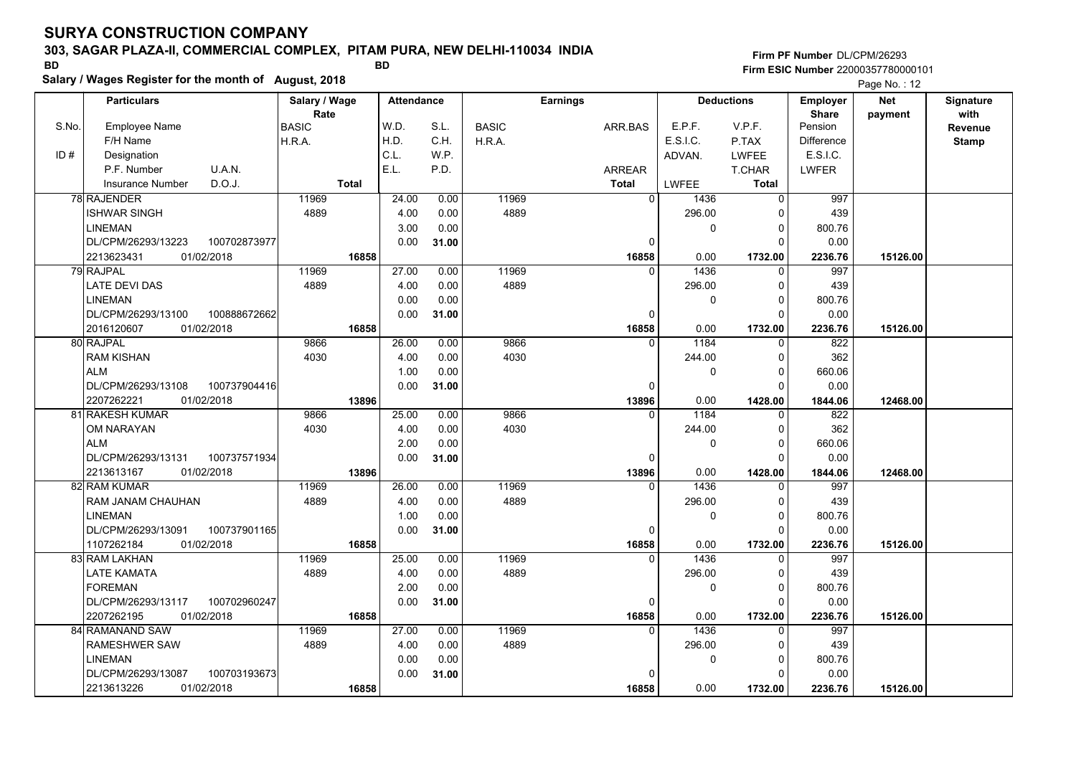### **303, SAGAR PLAZA-II, COMMERCIAL COMPLEX, PITAM PURA, NEW DELHI-110034 INDIA**

**Salary / Wages Register for the month of August, 2018 BD BD**

**Firm PF Number**DL/CPM/26293**Firm ESIC Number** 22000357780000101

|       | <b>Particulars</b>                 | Salary / Wage        | <b>Attendance</b> |       |              | <b>Earnings</b> |             | <b>Deductions</b> | <b>Employer</b>         | <b>Net</b> | Signature       |
|-------|------------------------------------|----------------------|-------------------|-------|--------------|-----------------|-------------|-------------------|-------------------------|------------|-----------------|
| S.No. | Employee Name                      | Rate<br><b>BASIC</b> | W.D.              | S.L.  | <b>BASIC</b> | ARR.BAS         | E.P.F.      | V.P.F.            | <b>Share</b><br>Pension | payment    | with<br>Revenue |
|       | F/H Name                           | H.R.A.               | H.D.              | C.H.  | H.R.A.       |                 | E.S.I.C.    | P.TAX             | Difference              |            | <b>Stamp</b>    |
| ID#   | Designation                        |                      | C.L.              | W.P.  |              |                 | ADVAN.      | LWFEE             | E.S.I.C.                |            |                 |
|       | U.A.N.<br>P.F. Number              |                      | E.L.              | P.D.  |              | <b>ARREAR</b>   |             | T.CHAR            | <b>LWFER</b>            |            |                 |
|       | D.O.J.<br><b>Insurance Number</b>  | <b>Total</b>         |                   |       |              | <b>Total</b>    | LWFEE       | Total             |                         |            |                 |
|       | 78 RAJENDER                        | 11969                | 24.00             | 0.00  | 11969        | $\mathbf{0}$    | 1436        | 0                 | 997                     |            |                 |
|       | <b>ISHWAR SINGH</b>                | 4889                 | 4.00              | 0.00  | 4889         |                 | 296.00      | $\Omega$          | 439                     |            |                 |
|       | <b>LINEMAN</b>                     |                      | 3.00              | 0.00  |              |                 | $\Omega$    | $\Omega$          | 800.76                  |            |                 |
|       | DL/CPM/26293/13223<br>100702873977 |                      | 0.00              | 31.00 |              | $\mathbf 0$     |             | $\Omega$          | 0.00                    |            |                 |
|       | 2213623431<br>01/02/2018           | 16858                |                   |       |              | 16858           | 0.00        | 1732.00           | 2236.76                 | 15126.00   |                 |
|       | 79 RAJPAL                          | 11969                | 27.00             | 0.00  | 11969        | $\Omega$        | 1436        | 0                 | 997                     |            |                 |
|       | <b>LATE DEVI DAS</b>               | 4889                 | 4.00              | 0.00  | 4889         |                 | 296.00      | $\Omega$          | 439                     |            |                 |
|       | <b>LINEMAN</b>                     |                      | 0.00              | 0.00  |              |                 | $\mathbf 0$ | $\Omega$          | 800.76                  |            |                 |
|       | DL/CPM/26293/13100<br>100888672662 |                      | 0.00              | 31.00 |              | $\mathbf 0$     |             | $\Omega$          | 0.00                    |            |                 |
|       | 01/02/2018<br>2016120607           | 16858                |                   |       |              | 16858           | 0.00        | 1732.00           | 2236.76                 | 15126.00   |                 |
|       | 80 RAJPAL                          | 9866                 | 26.00             | 0.00  | 9866         | $\Omega$        | 1184        | $\Omega$          | 822                     |            |                 |
|       | <b>RAM KISHAN</b>                  | 4030                 | 4.00              | 0.00  | 4030         |                 | 244.00      | $\Omega$          | 362                     |            |                 |
|       | <b>ALM</b>                         |                      | 1.00              | 0.00  |              |                 | 0           | $\Omega$          | 660.06                  |            |                 |
|       | DL/CPM/26293/13108<br>100737904416 |                      | 0.00              | 31.00 |              | $\Omega$        |             | $\Omega$          | 0.00                    |            |                 |
|       | 01/02/2018<br>2207262221           | 13896                |                   |       |              | 13896           | 0.00        | 1428.00           | 1844.06                 | 12468.00   |                 |
|       | 81 RAKESH KUMAR                    | 9866                 | 25.00             | 0.00  | 9866         | $\Omega$        | 1184        | $\Omega$          | $\overline{822}$        |            |                 |
|       | OM NARAYAN                         | 4030                 | 4.00              | 0.00  | 4030         |                 | 244.00      | $\Omega$          | 362                     |            |                 |
|       | <b>ALM</b>                         |                      | 2.00              | 0.00  |              |                 | $\mathbf 0$ | $\Omega$          | 660.06                  |            |                 |
|       | 100737571934<br>DL/CPM/26293/13131 |                      | 0.00              | 31.00 |              | $\mathbf 0$     |             | $\Omega$          | 0.00                    |            |                 |
|       | 01/02/2018<br>2213613167           | 13896                |                   |       |              | 13896           | 0.00        | 1428.00           | 1844.06                 | 12468.00   |                 |
|       | 82 RAM KUMAR                       | 11969                | 26.00             | 0.00  | 11969        | $\Omega$        | 1436        | U                 | 997                     |            |                 |
|       | RAM JANAM CHAUHAN                  | 4889                 | 4.00              | 0.00  | 4889         |                 | 296.00      | $\Omega$          | 439                     |            |                 |
|       | <b>LINEMAN</b>                     |                      | 1.00              | 0.00  |              |                 | 0           | 0                 | 800.76                  |            |                 |
|       | DL/CPM/26293/13091<br>100737901165 |                      | 0.00              | 31.00 |              | 0               |             | $\Omega$          | 0.00                    |            |                 |
|       | 1107262184<br>01/02/2018           | 16858                |                   |       |              | 16858           | 0.00        | 1732.00           | 2236.76                 | 15126.00   |                 |
|       | 83 RAM LAKHAN                      | 11969                | 25.00             | 0.00  | 11969        | $\Omega$        | 1436        | $\Omega$          | 997                     |            |                 |
|       | LATE KAMATA                        | 4889                 | 4.00              | 0.00  | 4889         |                 | 296.00      | 0                 | 439                     |            |                 |
|       | <b>FOREMAN</b>                     |                      | 2.00              | 0.00  |              |                 | 0           | $\Omega$          | 800.76                  |            |                 |
|       | DL/CPM/26293/13117<br>100702960247 |                      | 0.00              | 31.00 |              | 0               |             | $\Omega$          | 0.00                    |            |                 |
|       | 2207262195<br>01/02/2018           | 16858                |                   |       |              | 16858           | 0.00        | 1732.00           | 2236.76                 | 15126.00   |                 |
|       | 84 RAMANAND SAW                    | 11969                | 27.00             | 0.00  | 11969        | $\Omega$        | 1436        | $\Omega$          | 997                     |            |                 |
|       | RAMESHWER SAW                      | 4889                 | 4.00              | 0.00  | 4889         |                 | 296.00      | O                 | 439                     |            |                 |
|       | <b>LINEMAN</b>                     |                      | 0.00              | 0.00  |              |                 | $\pmb{0}$   | 0                 | 800.76                  |            |                 |
|       | 100703193673<br>DL/CPM/26293/13087 |                      | 0.00              | 31.00 |              | $\Omega$        |             | $\Omega$          | 0.00                    |            |                 |
|       | 01/02/2018<br>2213613226           | 16858                |                   |       |              | 16858           | 0.00        | 1732.00           | 2236.76                 | 15126.00   |                 |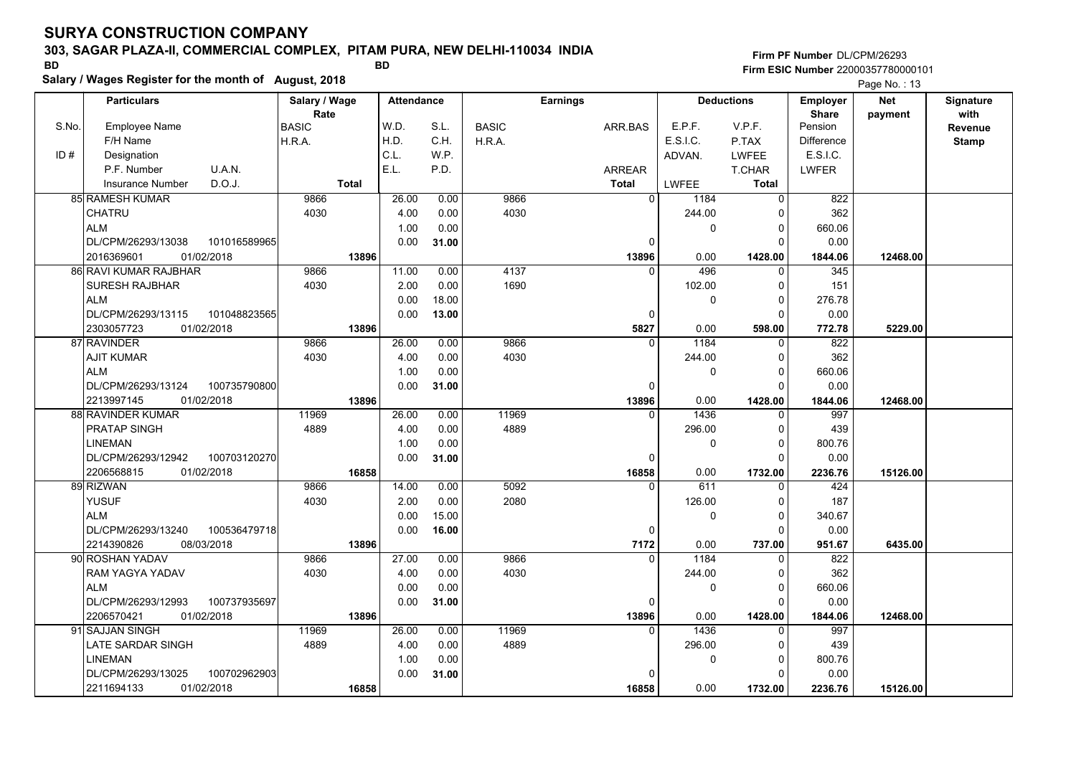### **303, SAGAR PLAZA-II, COMMERCIAL COMPLEX, PITAM PURA, NEW DELHI-110034 INDIA**

**Salary / Wages Register for the month of August, 2018 BD BD**

**Firm PF Number**DL/CPM/26293**Firm ESIC Number** 22000357780000101

|       | <b>Particulars</b>                 | Salary / Wage |       | <b>Attendance</b> |       | <b>Earnings</b> |               | <b>Deductions</b> |             | <b>Employer</b> | <b>Net</b><br>payment   | Signature |                        |
|-------|------------------------------------|---------------|-------|-------------------|-------|-----------------|---------------|-------------------|-------------|-----------------|-------------------------|-----------|------------------------|
| S.No. | Employee Name                      | Rate<br>BASIC |       | W.D.              | S.L.  | <b>BASIC</b>    | ARR BAS       |                   | E.P.F.      | V.P.F.          | <b>Share</b><br>Pension |           | with<br><b>Revenue</b> |
|       | F/H Name                           | H.R.A.        |       | H.D.              | C.H.  | H.R.A.          |               |                   | E.S.I.C.    | P.TAX           | Difference              |           | <b>Stamp</b>           |
| ID#   | Designation                        |               |       | C.L.              | W.P.  |                 |               |                   | ADVAN.      | LWFEE           | E.S.I.C.                |           |                        |
|       | U.A.N.<br>P.F. Number              |               |       | E.L.              | P.D.  |                 | <b>ARREAR</b> |                   |             | <b>T.CHAR</b>   | <b>LWFER</b>            |           |                        |
|       | D.O.J.<br>Insurance Number         | <b>Total</b>  |       |                   |       |                 | <b>Total</b>  |                   | LWFEE       | <b>Total</b>    |                         |           |                        |
|       | <b>85 RAMESH KUMAR</b>             | 9866          |       | 26.00             | 0.00  | 9866            |               | $\Omega$          | 1184        | $\Omega$        | 822                     |           |                        |
|       | CHATRU                             | 4030          |       | 4.00              | 0.00  | 4030            |               |                   | 244.00      | O               | 362                     |           |                        |
|       | <b>ALM</b>                         |               |       | 1.00              | 0.00  |                 |               |                   | 0           | $\Omega$        | 660.06                  |           |                        |
|       | DL/CPM/26293/13038<br>101016589965 |               |       | 0.00              | 31.00 |                 |               | $\Omega$          |             | $\Omega$        | 0.00                    |           |                        |
|       | 01/02/2018<br>2016369601           |               | 13896 |                   |       |                 |               | 13896             | 0.00        | 1428.00         | 1844.06                 | 12468.00  |                        |
|       | 86 RAVI KUMAR RAJBHAR              | 9866          |       | 11.00             | 0.00  | 4137            |               | $\Omega$          | 496         | $\Omega$        | 345                     |           |                        |
|       | SURESH RAJBHAR                     | 4030          |       | 2.00              | 0.00  | 1690            |               |                   | 102.00      | 0               | 151                     |           |                        |
|       | <b>ALM</b>                         |               |       | 0.00              | 18.00 |                 |               |                   | 0           | $\Omega$        | 276.78                  |           |                        |
|       | DL/CPM/26293/13115<br>101048823565 |               |       | 0.00              | 13.00 |                 |               | $\Omega$          |             | $\Omega$        | 0.00                    |           |                        |
|       | 2303057723<br>01/02/2018           |               | 13896 |                   |       |                 |               | 5827              | 0.00        | 598.00          | 772.78                  | 5229.00   |                        |
|       | 87 RAVINDER                        | 9866          |       | 26.00             | 0.00  | 9866            |               | $\mathbf{0}$      | 1184        | 0               | 822                     |           |                        |
|       | <b>AJIT KUMAR</b>                  | 4030          |       | 4.00              | 0.00  | 4030            |               |                   | 244.00      | $\Omega$        | 362                     |           |                        |
|       | <b>ALM</b>                         |               |       | 1.00              | 0.00  |                 |               |                   | 0           | $\Omega$        | 660.06                  |           |                        |
|       | DL/CPM/26293/13124<br>100735790800 |               |       | 0.00              | 31.00 |                 |               | $\Omega$          |             | $\Omega$        | 0.00                    |           |                        |
|       | 2213997145<br>01/02/2018           |               | 13896 |                   |       |                 |               | 13896             | 0.00        | 1428.00         | 1844.06                 | 12468.00  |                        |
|       | <b>88 RAVINDER KUMAR</b>           | 11969         |       | 26.00             | 0.00  | 11969           |               | $\Omega$          | 1436        | $\Omega$        | 997                     |           |                        |
|       | PRATAP SINGH                       | 4889          |       | 4.00              | 0.00  | 4889            |               |                   | 296.00      | $\Omega$        | 439                     |           |                        |
|       | <b>LINEMAN</b>                     |               |       | 1.00              | 0.00  |                 |               |                   | 0           | $\Omega$        | 800.76                  |           |                        |
|       | DL/CPM/26293/12942<br>100703120270 |               |       | 0.00              | 31.00 |                 |               | 0                 |             | $\Omega$        | 0.00                    |           |                        |
|       | 2206568815<br>01/02/2018           |               | 16858 |                   |       |                 |               | 16858             | 0.00        | 1732.00         | 2236.76                 | 15126.00  |                        |
|       | 89 RIZWAN                          | 9866          |       | 14.00             | 0.00  | 5092            |               | $\Omega$          | 611         | $\Omega$        | 424                     |           |                        |
|       | <b>YUSUF</b>                       | 4030          |       | 2.00              | 0.00  | 2080            |               |                   | 126.00      | $\Omega$        | 187                     |           |                        |
|       | <b>ALM</b>                         |               |       | 0.00              | 15.00 |                 |               |                   | 0           | 0               | 340.67                  |           |                        |
|       | DL/CPM/26293/13240<br>100536479718 |               |       | 0.00              | 16.00 |                 |               | 0                 |             | $\Omega$        | 0.00                    |           |                        |
|       | 08/03/2018<br>2214390826           |               | 13896 |                   |       |                 |               | 7172              | 0.00        | 737.00          | 951.67                  | 6435.00   |                        |
|       | 90 ROSHAN YADAV                    | 9866          |       | 27.00             | 0.00  | 9866            |               | $\mathbf{0}$      | 1184        | $\Omega$        | 822                     |           |                        |
|       | RAM YAGYA YADAV                    | 4030          |       | 4.00              | 0.00  | 4030            |               |                   | 244.00      | 0               | 362                     |           |                        |
|       | <b>ALM</b>                         |               |       | 0.00              | 0.00  |                 |               |                   | $\mathbf 0$ | $\Omega$        | 660.06                  |           |                        |
|       | DL/CPM/26293/12993<br>100737935697 |               |       | 0.00              | 31.00 |                 |               | 0                 |             | $\Omega$        | 0.00                    |           |                        |
|       | 01/02/2018<br>2206570421           |               | 13896 |                   |       |                 |               | 13896             | 0.00        | 1428.00         | 1844.06                 | 12468.00  |                        |
|       | 91 SAJJAN SINGH                    | 11969         |       | 26.00             | 0.00  | 11969           |               | $\Omega$          | 1436        | $\Omega$        | 997                     |           |                        |
|       | LATE SARDAR SINGH                  | 4889          |       | 4.00              | 0.00  | 4889            |               |                   | 296.00      | $\Omega$        | 439                     |           |                        |
|       | <b>LINEMAN</b>                     |               |       | 1.00              | 0.00  |                 |               |                   | 0           | 0               | 800.76                  |           |                        |
|       | DL/CPM/26293/13025<br>100702962903 |               |       | 0.00              | 31.00 |                 |               |                   |             | $\Omega$        | 0.00                    |           |                        |
|       | 01/02/2018<br>2211694133           |               | 16858 |                   |       |                 |               | 16858             | 0.00        | 1732.00         | 2236.76                 | 15126.00  |                        |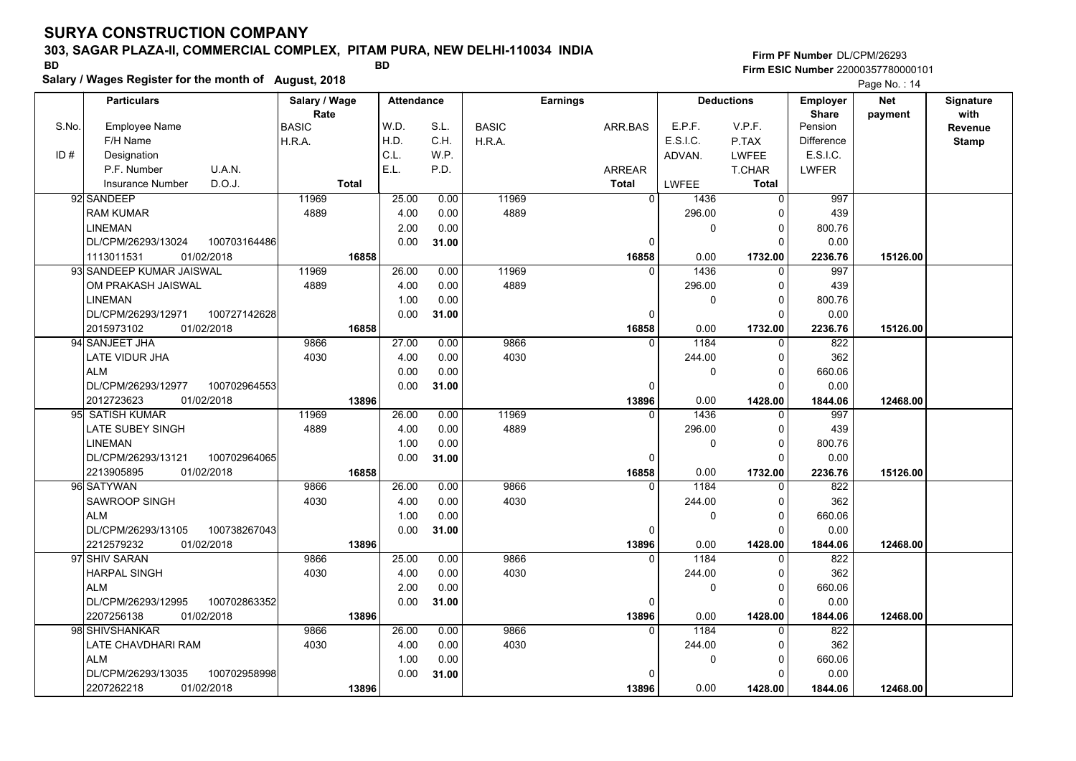### **303, SAGAR PLAZA-II, COMMERCIAL COMPLEX, PITAM PURA, NEW DELHI-110034 INDIA**

**Salary / Wages Register for the month of August, 2018 BD BD**

**Firm PF Number**DL/CPM/26293**Firm ESIC Number** 22000357780000101

|       | <b>Particulars</b>                 | Salary / Wage        |              | <b>Attendance</b><br><b>Earnings</b> |       |              |              |                  | <b>Deductions</b> | Employer                | <b>Net</b> | Signature       |
|-------|------------------------------------|----------------------|--------------|--------------------------------------|-------|--------------|--------------|------------------|-------------------|-------------------------|------------|-----------------|
| S.No. | Employee Name                      | Rate<br><b>BASIC</b> |              | W.D.                                 | S.L.  | <b>BASIC</b> | ARR.BAS      | E.P.F.           | V.P.F.            | <b>Share</b><br>Pension | payment    | with<br>Revenue |
|       | F/H Name                           | H.R.A.               |              | H.D.                                 | C.H.  | H.R.A.       |              | E.S.I.C.         | P.TAX             | <b>Difference</b>       |            | <b>Stamp</b>    |
| ID#   | Designation                        |                      |              | C.L.                                 | W.P.  |              |              | ADVAN.           | <b>LWFEE</b>      | E.S.I.C.                |            |                 |
|       | U.A.N.<br>P.F. Number              |                      |              | E.L.                                 | P.D.  |              | ARREAR       |                  | T.CHAR            | <b>LWFER</b>            |            |                 |
|       | D.O.J.<br><b>Insurance Number</b>  |                      | <b>Total</b> |                                      |       |              | <b>Total</b> | <b>LWFEE</b>     | <b>Total</b>      |                         |            |                 |
|       | 92 SANDEEP                         | 11969                |              | 25.00                                | 0.00  | 11969        |              | 0<br>1436        | 0                 | 997                     |            |                 |
|       | <b>RAM KUMAR</b>                   | 4889                 |              | 4.00                                 | 0.00  | 4889         |              | 296.00           | $\Omega$          | 439                     |            |                 |
|       | <b>LINEMAN</b>                     |                      |              | 2.00                                 | 0.00  |              |              | $\pmb{0}$        | $\Omega$          | 800.76                  |            |                 |
|       | 100703164486<br>DL/CPM/26293/13024 |                      |              | 0.00                                 | 31.00 |              |              | 0                | $\Omega$          | 0.00                    |            |                 |
|       | 01/02/2018<br>1113011531           |                      | 16858        |                                      |       |              | 16858        | 0.00             | 1732.00           | 2236.76                 | 15126.00   |                 |
|       | 93 SANDEEP KUMAR JAISWAL           | 11969                |              | 26.00                                | 0.00  | 11969        |              | 1436<br>$\Omega$ | $\Omega$          | 997                     |            |                 |
|       | OM PRAKASH JAISWAL                 | 4889                 |              | 4.00                                 | 0.00  | 4889         |              | 296.00           | $\Omega$          | 439                     |            |                 |
|       | <b>LINEMAN</b>                     |                      |              | 1.00                                 | 0.00  |              |              | $\mathbf 0$      | 0                 | 800.76                  |            |                 |
|       | DL/CPM/26293/12971<br>100727142628 |                      |              | 0.00                                 | 31.00 |              |              | 0                | $\Omega$          | 0.00                    |            |                 |
|       | 2015973102<br>01/02/2018           |                      | 16858        |                                      |       |              | 16858        | 0.00             | 1732.00           | 2236.76                 | 15126.00   |                 |
|       | 94 SANJEET JHA                     | 9866                 |              | 27.00                                | 0.00  | 9866         |              | 1184<br>$\Omega$ | $\Omega$          | 822                     |            |                 |
|       | LATE VIDUR JHA                     | 4030                 |              | 4.00                                 | 0.00  | 4030         |              | 244.00           | $\Omega$          | 362                     |            |                 |
|       | <b>ALM</b>                         |                      |              | 0.00                                 | 0.00  |              |              | $\mathbf 0$      | $\Omega$          | 660.06                  |            |                 |
|       | DL/CPM/26293/12977<br>100702964553 |                      |              | 0.00                                 | 31.00 |              |              | $\Omega$         | $\Omega$          | 0.00                    |            |                 |
|       | 2012723623<br>01/02/2018           |                      | 13896        |                                      |       |              | 13896        | 0.00             | 1428.00           | 1844.06                 | 12468.00   |                 |
|       | 95 SATISH KUMAR                    | 11969                |              | 26.00                                | 0.00  | 11969        |              | 1436<br>0        | 0                 | 997                     |            |                 |
|       | LATE SUBEY SINGH                   | 4889                 |              | 4.00                                 | 0.00  | 4889         |              | 296.00           | $\Omega$          | 439                     |            |                 |
|       | <b>LINEMAN</b>                     |                      |              | 1.00                                 | 0.00  |              |              | 0                | $\Omega$          | 800.76                  |            |                 |
|       | DL/CPM/26293/13121<br>100702964065 |                      |              | 0.00                                 | 31.00 |              |              | $\Omega$         | $\Omega$          | 0.00                    |            |                 |
|       | 2213905895<br>01/02/2018           |                      | 16858        |                                      |       |              | 16858        | 0.00             | 1732.00           | 2236.76                 | 15126.00   |                 |
|       | 96 SATYWAN                         | 9866                 |              | 26.00                                | 0.00  | 9866         |              | 1184<br>$\Omega$ | $\Omega$          | 822                     |            |                 |
|       | <b>SAWROOP SINGH</b>               | 4030                 |              | 4.00                                 | 0.00  | 4030         |              | 244.00           | $\Omega$          | 362                     |            |                 |
|       | <b>ALM</b>                         |                      |              | 1.00                                 | 0.00  |              |              | $\mathbf 0$      | $\Omega$          | 660.06                  |            |                 |
|       | 100738267043<br>DL/CPM/26293/13105 |                      |              | 0.00                                 | 31.00 |              |              | 0                | $\Omega$          | 0.00                    |            |                 |
|       | 2212579232<br>01/02/2018           |                      | 13896        |                                      |       |              | 13896        | 0.00             | 1428.00           | 1844.06                 | 12468.00   |                 |
|       | 97 SHIV SARAN                      | 9866                 |              | 25.00                                | 0.00  | 9866         |              | 1184<br>$\Omega$ | 0                 | 822                     |            |                 |
|       | <b>HARPAL SINGH</b>                | 4030                 |              | 4.00                                 | 0.00  | 4030         |              | 244.00           | $\Omega$          | 362                     |            |                 |
|       | <b>ALM</b>                         |                      |              | 2.00                                 | 0.00  |              |              | $\mathbf 0$      | $\Omega$          | 660.06                  |            |                 |
|       | DL/CPM/26293/12995<br>100702863352 |                      |              | 0.00                                 | 31.00 |              |              | 0                | $\Omega$          | 0.00                    |            |                 |
|       | 2207256138<br>01/02/2018           |                      | 13896        |                                      |       |              | 13896        | 0.00             | 1428.00           | 1844.06                 | 12468.00   |                 |
|       | 98 SHIVSHANKAR                     | 9866                 |              | 26.00                                | 0.00  | 9866         |              | 1184<br>$\Omega$ | $\Omega$          | 822                     |            |                 |
|       | LATE CHAVDHARI RAM                 | 4030                 |              | 4.00                                 | 0.00  | 4030         |              | 244.00           | $\Omega$          | 362                     |            |                 |
|       | <b>ALM</b>                         |                      |              | 1.00                                 | 0.00  |              |              | 0                | 0                 | 660.06                  |            |                 |
|       | DL/CPM/26293/13035<br>100702958998 |                      |              | 0.00                                 | 31.00 |              |              | $\Omega$         | ŋ                 | 0.00                    |            |                 |
|       | 01/02/2018<br>2207262218           |                      | 13896        |                                      |       |              | 13896        | 0.00             | 1428.00           | 1844.06                 | 12468.00   |                 |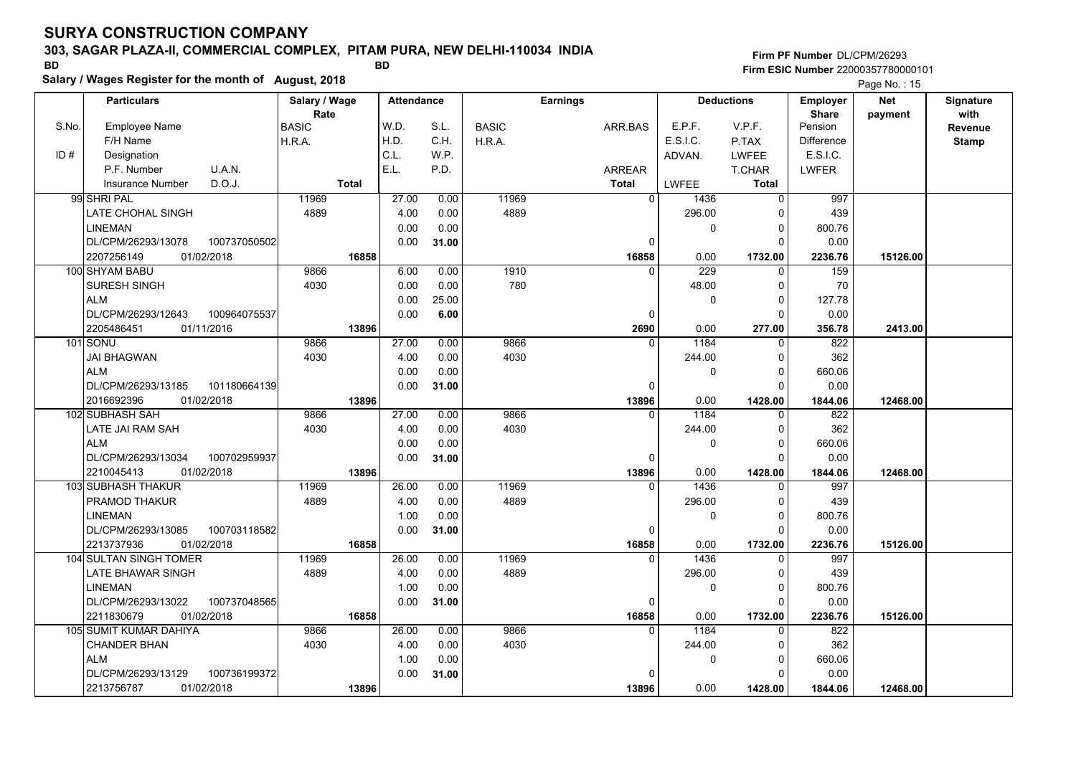### **303, SAGAR PLAZA-II, COMMERCIAL COMPLEX, PITAM PURA, NEW DELHI-110034 INDIA**

**Firm PF Number**DL/CPM/26293**Firm ESIC Number** 22000357780000101

|       | <b>Particulars</b>                 |                      | Salary / Wage |       | <b>Attendance</b> |              | <b>Earnings</b> |              |             | <b>Deductions</b>    |                         | <b>Net</b> | Signature               |
|-------|------------------------------------|----------------------|---------------|-------|-------------------|--------------|-----------------|--------------|-------------|----------------------|-------------------------|------------|-------------------------|
| S.No. | Employee Name                      | Rate<br><b>BASIC</b> |               | W.D.  | S.L.              | <b>BASIC</b> |                 | ARR.BAS      | E.P.F.      | V.P.F.               | <b>Share</b><br>Pension | payment    | with                    |
|       | F/H Name                           | H.R.A.               |               | H.D.  | C.H.              | H.R.A.       |                 |              | E.S.I.C.    | P.TAX                | Difference              |            | Revenue<br><b>Stamp</b> |
| ID#   | Designation                        |                      |               | C.L.  | W.P.              |              |                 |              | ADVAN.      | <b>LWFEE</b>         | E.S.I.C.                |            |                         |
|       | U.A.N.<br>P.F. Number              |                      |               | E.L.  | P.D.              |              |                 | ARREAR       |             | T.CHAR               | <b>LWFER</b>            |            |                         |
|       | D.O.J.<br><b>Insurance Number</b>  |                      | <b>Total</b>  |       |                   |              |                 | <b>Total</b> | LWFEE       | <b>Total</b>         |                         |            |                         |
|       |                                    |                      |               |       |                   |              |                 |              |             |                      |                         |            |                         |
|       | 99 SHRI PAL                        | 11969                |               | 27.00 | 0.00              | 11969        |                 | $\mathbf{0}$ | 1436        | $\mathbf 0$          | 997                     |            |                         |
|       | LATE CHOHAL SINGH                  | 4889                 |               | 4.00  | 0.00              | 4889         |                 |              | 296.00      | $\Omega$             | 439                     |            |                         |
|       | <b>LINEMAN</b>                     |                      |               | 0.00  | 0.00              |              |                 |              | $\mathbf 0$ | $\Omega$<br>$\Omega$ | 800.76                  |            |                         |
|       | DL/CPM/26293/13078<br>100737050502 |                      |               | 0.00  | 31.00             |              |                 | $\mathbf 0$  |             |                      | 0.00                    |            |                         |
|       | 2207256149<br>01/02/2018           |                      | 16858         |       |                   |              |                 | 16858        | 0.00        | 1732.00              | 2236.76                 | 15126.00   |                         |
|       | 100 SHYAM BABU                     | 9866                 |               | 6.00  | 0.00              | 1910         |                 | 0            | 229         | 0                    | 159                     |            |                         |
|       | SURESH SINGH                       | 4030                 |               | 0.00  | 0.00              | 780          |                 |              | 48.00       | $\Omega$             | 70                      |            |                         |
|       | <b>ALM</b>                         |                      |               | 0.00  | 25.00             |              |                 |              | $\mathbf 0$ | $\Omega$             | 127.78                  |            |                         |
|       | DL/CPM/26293/12643<br>100964075537 |                      |               | 0.00  | 6.00              |              |                 | 0            |             | $\Omega$             | 0.00                    |            |                         |
|       | 2205486451<br>01/11/2016           |                      | 13896         |       |                   |              |                 | 2690         | 0.00        | 277.00               | 356.78                  | 2413.00    |                         |
|       | 101 SONU                           | 9866                 |               | 27.00 | 0.00              | 9866         |                 | $\Omega$     | 1184        | 0                    | 822                     |            |                         |
|       | <b>JAI BHAGWAN</b>                 | 4030                 |               | 4.00  | 0.00              | 4030         |                 |              | 244.00      | $\Omega$             | 362                     |            |                         |
|       | <b>ALM</b>                         |                      |               | 0.00  | 0.00              |              |                 |              | $\mathbf 0$ | $\Omega$             | 660.06                  |            |                         |
|       | DL/CPM/26293/13185<br>101180664139 |                      |               | 0.00  | 31.00             |              |                 | 0            |             | $\Omega$             | 0.00                    |            |                         |
|       | 2016692396<br>01/02/2018           |                      | 13896         |       |                   |              |                 | 13896        | 0.00        | 1428.00              | 1844.06                 | 12468.00   |                         |
|       | 102 SUBHASH SAH                    | 9866                 |               | 27.00 | 0.00              | 9866         |                 | $\Omega$     | 1184        | $\Omega$             | 822                     |            |                         |
|       | LATE JAI RAM SAH                   | 4030                 |               | 4.00  | 0.00              | 4030         |                 |              | 244.00      | 0                    | 362                     |            |                         |
|       | <b>ALM</b>                         |                      |               | 0.00  | 0.00              |              |                 |              | $\mathbf 0$ | $\Omega$             | 660.06                  |            |                         |
|       | 100702959937<br>DL/CPM/26293/13034 |                      |               | 0.00  | 31.00             |              |                 | 0            |             | $\Omega$             | 0.00                    |            |                         |
|       | 2210045413<br>01/02/2018           |                      | 13896         |       |                   |              |                 | 13896        | 0.00        | 1428.00              | 1844.06                 | 12468.00   |                         |
|       | 103 SUBHASH THAKUR                 | 11969                |               | 26.00 | 0.00              | 11969        |                 | $\Omega$     | 1436        | $\Omega$             | 997                     |            |                         |
|       | PRAMOD THAKUR                      | 4889                 |               | 4.00  | 0.00              | 4889         |                 |              | 296.00      | 0                    | 439                     |            |                         |
|       | <b>LINEMAN</b>                     |                      |               | 1.00  | 0.00              |              |                 |              | $\mathbf 0$ | 0                    | 800.76                  |            |                         |
|       | DL/CPM/26293/13085<br>100703118582 |                      |               | 0.00  | 31.00             |              |                 | $\Omega$     |             | $\Omega$             | 0.00                    |            |                         |
|       | 01/02/2018<br>2213737936           |                      | 16858         |       |                   |              |                 | 16858        | 0.00        | 1732.00              | 2236.76                 | 15126.00   |                         |
|       | 104 SULTAN SINGH TOMER             | 11969                |               | 26.00 | 0.00              | 11969        |                 | $\Omega$     | 1436        | $\Omega$             | 997                     |            |                         |
|       | LATE BHAWAR SINGH                  | 4889                 |               | 4.00  | 0.00              | 4889         |                 |              | 296.00      | 0                    | 439                     |            |                         |
|       | LINEMAN                            |                      |               | 1.00  | 0.00              |              |                 |              | $\pmb{0}$   | $\Omega$             | 800.76                  |            |                         |
|       | DL/CPM/26293/13022<br>100737048565 |                      |               | 0.00  | 31.00             |              |                 | 0            |             | $\Omega$             | 0.00                    |            |                         |
|       | 01/02/2018<br>2211830679           |                      | 16858         |       |                   |              |                 | 16858        | 0.00        | 1732.00              | 2236.76                 | 15126.00   |                         |
|       | 105 SUMIT KUMAR DAHIYA             | 9866                 |               | 26.00 | 0.00              | 9866         |                 | $\mathbf{0}$ | 1184        | 0                    | 822                     |            |                         |
|       | <b>CHANDER BHAN</b>                | 4030                 |               | 4.00  | 0.00              | 4030         |                 |              | 244.00      | 0                    | 362                     |            |                         |
|       | <b>ALM</b>                         |                      |               | 1.00  | 0.00              |              |                 |              | 0           | $\Omega$             | 660.06                  |            |                         |
|       | DL/CPM/26293/13129<br>100736199372 |                      |               | 0.00  | 31.00             |              |                 | $\Omega$     |             | $\Omega$             | 0.00                    |            |                         |
|       | 2213756787<br>01/02/2018           |                      | 13896         |       |                   |              |                 | 13896        | 0.00        | 1428.00              | 1844.06                 | 12468.00   |                         |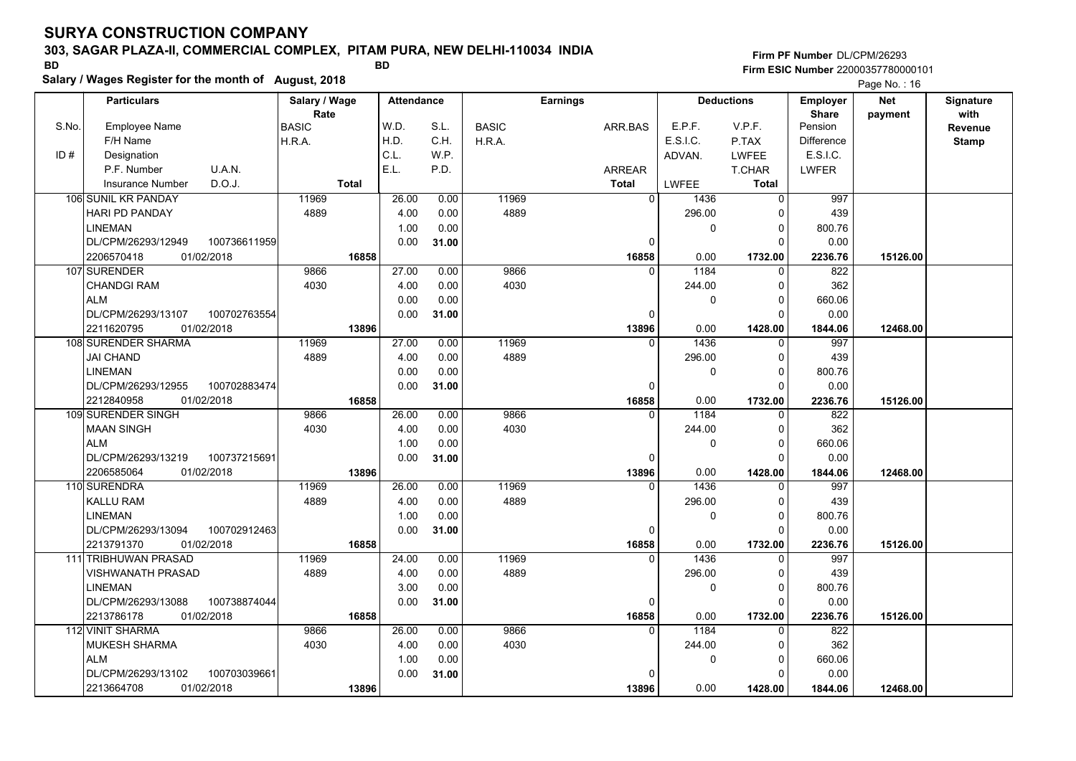### **303, SAGAR PLAZA-II, COMMERCIAL COMPLEX, PITAM PURA, NEW DELHI-110034 INDIA**

### **Salary / Wages Register for the month of August, 2018 BD BD Firm PF Number**DL/CPM/26293**Firm ESIC Number** 22000357780000101

Page No. : 16

**BASIC**  H.R.A.ARR.BASARREAR**Total**S.No.ID #Employee NameF/H Name Designation P.F. NumberInsurance Number**Salary / Wage RateAttendance Earnings BASIC**  H.R.A.**Total**ADVAN.P.TAX LWFEE T.CHAR **Total**LWFEE <sup>1436</sup> <sup>0</sup> E.P.F. V.P.F. E.S.I.C.Pension DifferenceLWFER**Deductions Employer Share**W.D.H.D.C.L.E.L.S.L.C.H.W.P.P.D.**Net paymentSignaturewith Revenue StampParticulars**D.O.J.U.A.N.E.S.I.C. 11969 4889 $\overline{0}$  $\Omega$   **16858** $\overline{0}$  11969 4889 296.00 $\overline{\phantom{0}}$  $\Omega$  $\overline{\phantom{0}}$  $\overline{\phantom{0}}$ 1732.00 0.00 **1732.00 15126.00** 997 439 800.76 0.00 2236.76 106 SUNIL KR PANDAY HARI PD PANDAYLINEMAN DL/CPM/26293/12949 2206570418 **16858**26.00 4.00 1.00 0.00 0.00 0.00 0.00 **31.00**01/02/2018 **2236.76** 822100736611959 9866 4030 $\Omega$   **13896** $\overline{0}$  9866 4030 $1184$  0 244.00 $\overline{\phantom{0}}$  0 $\overline{\phantom{0}}$  $\overline{\phantom{0}}$ 1428.00 0.00 **1428.00 12468.00** 362 660.06 0.00 1844.06 <sup>107</sup> SURENDER CHANDGI RAMALM DL/CPM/26293/1310701/02/2018 2211620795 **13896**27.00 4.00 0.00 0.00 0.00 0.00 0.00 **31.00**01/02/2018 **1844.06** 997100702763554 11969 4889 $\Omega$   **16858** $\overline{0}$ 11969 4889 $1436$  0 296.00 $\overline{\phantom{0}}$  0 $\overline{\phantom{0}}$  $\overline{0}$ 1732.00 0.00 **1732.00 15126.00** 439 800.76 0.00 2236.76 <sup>108</sup> SURENDER SHARMA JAI CHANDLINEMAN DL/CPM/26293/1295501/02/2018 2212840958 **16858**27.00 4.00 0.00 0.00 $0.00$  0.00 0.00 **31.00**01/02/2018 **2236.76** 822100702883474 9866 4030 0  **13896** $\overline{0}$  9866 4030<sup>1184</sup> <sup>0</sup> 244.00 $\overline{\phantom{0}}$  $\Omega$  $\overline{\phantom{0}}$  $\overline{0}$  0.00 **1428.00 12468.00** 362 660.06 0.00 1844.06 <sup>109</sup> SURENDER SINGH MAAN SINGHALM DL/CPM/26293/1321901/02/2018 2206585064 **13896**26.00 4.00 1.00 0.00 0.00 0.00 0.00 **31.00**01/02/2018 **1844.06** 997100737215691 11969 4889 $\Omega$   **16858** $\overline{0}$  11969 4889<sup>1436</sup> <sup>0</sup> 296.00 $\overline{\phantom{0}}$  $\Omega$  $\overline{\phantom{0}}$  $\overline{0}$ 1732.00 0.00 **1732.00 15126.00** 439 800.76 0.00 2236.76 <sup>110</sup> SURENDRA KALLU RAMLINEMAN DL/CPM/26293/1309401/02/2018 2213791370 **16858**26.00 4.00 1.00 0.00 0.00 0.00 0.00 **31.00**01/02/2018 **2236.76** 997100702912463 11969 4889 $\Omega$   **16858** $\overline{0}$  11969 4889<sup>1436</sup> <sup>0</sup> 296.00 $\overline{\phantom{0}}$  $\mathfrak{c}$  $\overline{\phantom{0}}$  $\overline{0}$ 1732.00 0.00 **1732.00 15126.00** 439 800.76 0.00 2236.76 <sup>111</sup> TRIBHUWAN PRASAD VISHWANATH PRASADLINEMAN DL/CPM/26293/1308801/02/2018 2213786178 **16858**24.00 4.00 3.00 0.00 $0.00$  0.00 0.00 **31.00**01/02/2018 **2236.76**822 100738874044 9866 4030 $\Omega$   **13896** 9866 40301184 244.00 $\overline{0}$  $\Omega$  $\overline{0}$  $\overline{0}$ 1428.00 0.00 **1428.00 12468.00** 362 660.06 0.001844.06 <sup>112</sup> VINIT SHARMA MUKESH SHARMAALM DL/CPM/26293/1310201/02/2018 2213664708 **13896**26.00 4.00 1.00 0.00 0.00 0.00 0.00 **31.00**01/02/2018 **1844.06**100703039661